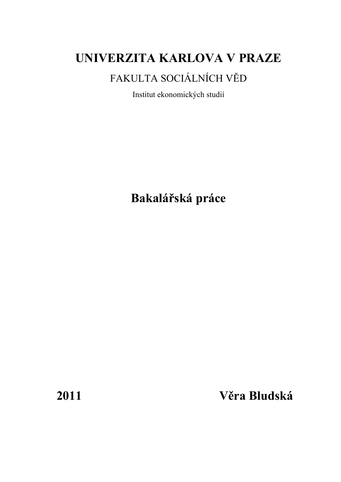# **UNIVERZITA KARLOVA V PRAZE**

# FAKULTA SOCIÁLNÍCH VĚD

Institut ekonomických studií

**Bakalářská práce** 

**2011 Věra Bludská**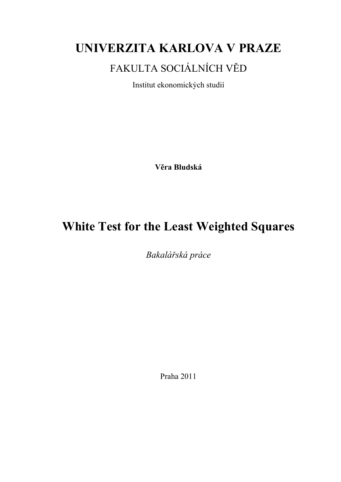# **UNIVERZITA KARLOVA V PRAZE**

FAKULTA SOCIÁLNÍCH VĚD

Institut ekonomických studií

**Věra Bludská**

# **White Test for the Least Weighted Squares**

*Bakalářská práce* 

Praha 2011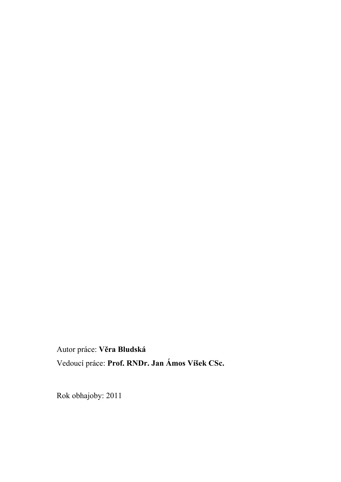Autor práce: **Věra Bludská** Vedoucí práce: **Prof. RNDr. Jan Ámos Víšek CSc.** 

Rok obhajoby: 2011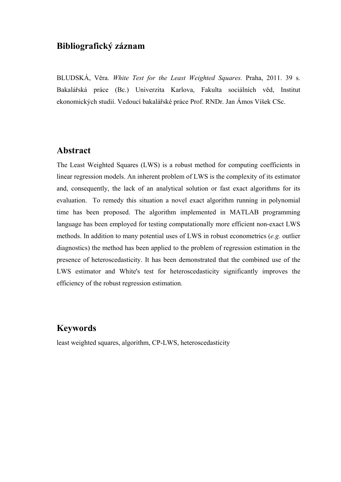### **Bibliografický záznam**

BLUDSKÁ, Věra. *White Test for the Least Weighted Squares.* Praha, 2011. 39 s. Bakalářská práce (Bc.) Univerzita Karlova, Fakulta sociálních věd, Institut ekonomických studií. Vedoucí bakalářské práce Prof. RNDr. Jan Ámos Víšek CSc.

### **Abstract**

The Least Weighted Squares (LWS) is a robust method for computing coefficients in linear regression models. An inherent problem of LWS is the complexity of its estimator and, consequently, the lack of an analytical solution or fast exact algorithms for its evaluation. To remedy this situation a novel exact algorithm running in polynomial time has been proposed. The algorithm implemented in MATLAB programming language has been employed for testing computationally more efficient non-exact LWS methods. In addition to many potential uses of LWS in robust econometrics (*e.g.* outlier diagnostics) the method has been applied to the problem of regression estimation in the presence of heteroscedasticity. It has been demonstrated that the combined use of the LWS estimator and White's test for heteroscedasticity significantly improves the efficiency of the robust regression estimation.

### **Keywords**

least weighted squares, algorithm, CP-LWS, heteroscedasticity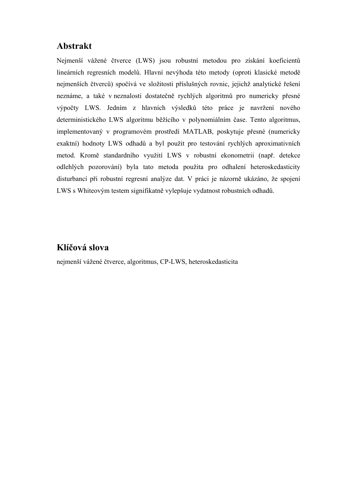### **Abstrakt**

Nejmenší vážené čtverce (LWS) jsou robustní metodou pro získání koeficientů lineárních regresních modelů. Hlavní nevýhoda této metody (oproti klasické metodě nejmenších čtverců) spočívá ve složitosti příslušných rovnic, jejichž analytické řešení neznáme, a také v neznalosti dostatečně rychlých algoritmů pro numericky přesné výpočty LWS. Jedním z hlavních výsledků této práce je navržení nového deterministického LWS algoritmu běžícího v polynomiálním čase. Tento algoritmus, implementovaný v programovém prostředí MATLAB, poskytuje přesné (numericky exaktní) hodnoty LWS odhadů a byl použit pro testování rychlých aproximativních metod. Kromě standardního využití LWS v robustní ekonometrii (např. detekce odlehlých pozorování) byla tato metoda použita pro odhalení heteroskedasticity disturbancí při robustní regresní analýze dat. V práci je názorně ukázáno, že spojení LWS s Whiteovým testem signifikatně vylepšuje vydatnost robustních odhadů.

### **Klíčová slova**

nejmenší vážené čtverce, algoritmus, CP-LWS, heteroskedasticita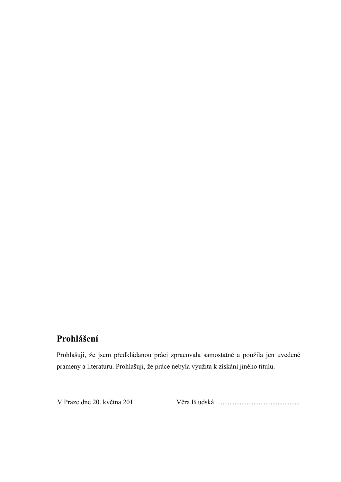## **Prohlášení**

Prohlašuji, že jsem předkládanou práci zpracovala samostatně a použila jen uvedené prameny a literaturu. Prohlašuji, že práce nebyla využita k získání jiného titulu.

V Praze dne 20. května 2011 Věra Bludská ...............................................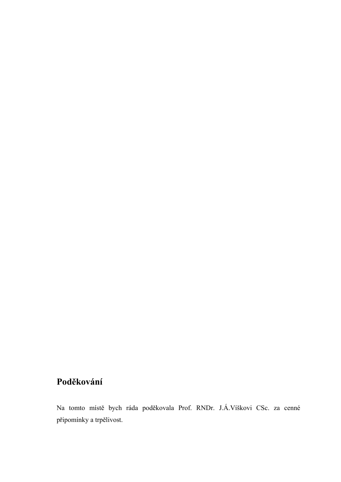## **Poděkování**

Na tomto místě bych ráda poděkovala Prof. RNDr. J.Á.Víškovi CSc. za cenné připomínky a trpělivost.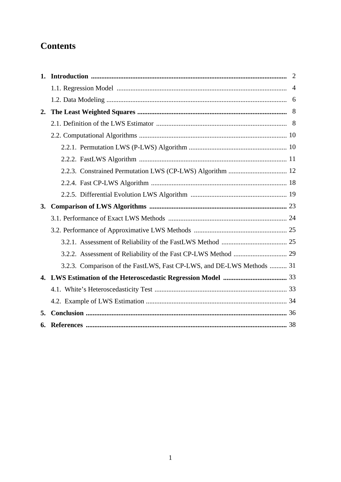## **Contents**

|    |                                                                       | $\overline{4}$ |
|----|-----------------------------------------------------------------------|----------------|
|    |                                                                       | 6              |
| 2. |                                                                       | 8              |
|    |                                                                       |                |
|    |                                                                       |                |
|    |                                                                       |                |
|    |                                                                       |                |
|    |                                                                       |                |
|    |                                                                       |                |
|    |                                                                       |                |
| 3. |                                                                       |                |
|    |                                                                       |                |
|    |                                                                       |                |
|    |                                                                       |                |
|    |                                                                       |                |
|    |                                                                       |                |
|    | 3.2.3. Comparison of the FastLWS, Fast CP-LWS, and DE-LWS Methods  31 |                |
|    |                                                                       |                |
|    |                                                                       |                |
|    |                                                                       |                |
| 5. |                                                                       |                |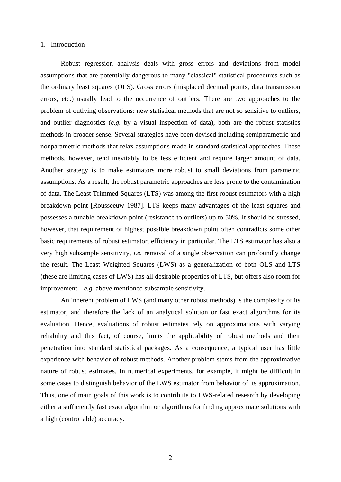#### 1. Introduction

Robust regression analysis deals with gross errors and deviations from model assumptions that are potentially dangerous to many "classical" statistical procedures such as the ordinary least squares (OLS). Gross errors (misplaced decimal points, data transmission errors, etc.) usually lead to the occurrence of outliers. There are two approaches to the problem of outlying observations: new statistical methods that are not so sensitive to outliers, and outlier diagnostics (*e.g.* by a visual inspection of data), both are the robust statistics methods in broader sense. Several strategies have been devised including semiparametric and nonparametric methods that relax assumptions made in standard statistical approaches. These methods, however, tend inevitably to be less efficient and require larger amount of data. Another strategy is to make estimators more robust to small deviations from parametric assumptions. As a result, the robust parametric approaches are less prone to the contamination of data. The Least Trimmed Squares (LTS) was among the first robust estimators with a high breakdown point [Rousseeuw 1987]. LTS keeps many advantages of the least squares and possesses a tunable breakdown point (resistance to outliers) up to 50%. It should be stressed, however, that requirement of highest possible breakdown point often contradicts some other basic requirements of robust estimator, efficiency in particular. The LTS estimator has also a very high subsample sensitivity, *i.e.* removal of a single observation can profoundly change the result. The Least Weighted Squares (LWS) as a generalization of both OLS and LTS (these are limiting cases of LWS) has all desirable properties of LTS, but offers also room for improvement –  $e.g.$  above mentioned subsample sensitivity.

 An inherent problem of LWS (and many other robust methods) is the complexity of its estimator, and therefore the lack of an analytical solution or fast exact algorithms for its evaluation. Hence, evaluations of robust estimates rely on approximations with varying reliability and this fact, of course, limits the applicability of robust methods and their penetration into standard statistical packages. As a consequence, a typical user has little experience with behavior of robust methods. Another problem stems from the approximative nature of robust estimates. In numerical experiments, for example, it might be difficult in some cases to distinguish behavior of the LWS estimator from behavior of its approximation. Thus, one of main goals of this work is to contribute to LWS-related research by developing either a sufficiently fast exact algorithm or algorithms for finding approximate solutions with a high (controllable) accuracy.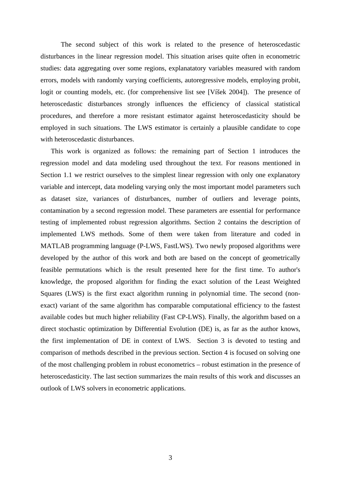The second subject of this work is related to the presence of heteroscedastic disturbances in the linear regression model. This situation arises quite often in econometric studies: data aggregating over some regions, explanatatory variables measured with random errors, models with randomly varying coefficients, autoregressive models, employing probit, logit or counting models, etc. (for comprehensive list see [Víšek 2004]). The presence of heteroscedastic disturbances strongly influences the efficiency of classical statistical procedures, and therefore a more resistant estimator against heteroscedasticity should be employed in such situations. The LWS estimator is certainly a plausible candidate to cope with heteroscedastic disturbances.

This work is organized as follows: the remaining part of Section 1 introduces the regression model and data modeling used throughout the text. For reasons mentioned in Section 1.1 we restrict ourselves to the simplest linear regression with only one explanatory variable and intercept, data modeling varying only the most important model parameters such as dataset size, variances of disturbances, number of outliers and leverage points, contamination by a second regression model. These parameters are essential for performance testing of implemented robust regression algorithms. Section 2 contains the description of implemented LWS methods. Some of them were taken from literature and coded in MATLAB programming language (P-LWS, FastLWS). Two newly proposed algorithms were developed by the author of this work and both are based on the concept of geometrically feasible permutations which is the result presented here for the first time. To author's knowledge, the proposed algorithm for finding the exact solution of the Least Weighted Squares (LWS) is the first exact algorithm running in polynomial time. The second (nonexact) variant of the same algorithm has comparable computational efficiency to the fastest available codes but much higher reliability (Fast CP-LWS). Finally, the algorithm based on a direct stochastic optimization by Differential Evolution (DE) is, as far as the author knows, the first implementation of DE in context of LWS. Section 3 is devoted to testing and comparison of methods described in the previous section. Section 4 is focused on solving one of the most challenging problem in robust econometrics – robust estimation in the presence of heteroscedasticity. The last section summarizes the main results of this work and discusses an outlook of LWS solvers in econometric applications.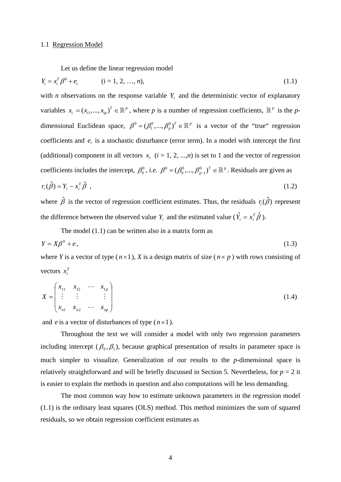#### 1.1 Regression Model

Let us define the linear regression model

$$
Y_i = x_i^T \beta^0 + e_i \qquad (i = 1, 2, ..., n),
$$
\n(1.1)

with *n* observations on the response variable  $Y_i$  and the deterministic vector of explanatory variables  $x_i = (x_{i1},..., x_{ip})^T \in \mathbb{R}^p$ , where *p* is a number of regression coefficients,  $\mathbb{R}^p$  is the *p*dimensional Euclidean space,  $\beta^0 = (\beta_1^0, ..., \beta_p^0)^T \in \mathbb{R}^p$  is a vector of the "true" regression coefficients and  $e_i$  is a stochastic disturbance (error term). In a model with intercept the first (additional) component in all vectors  $x_i$  ( $i = 1, 2, ..., n$ ) is set to 1 and the vector of regression coefficients includes the intercept,  $\beta_0^0$ , *i.e.*  $\beta^0 = (\beta_0^0, ..., \beta_{p-1}^0)^T \in \mathbb{R}^p$ . Residuals are given as  $(\hat{\beta}) = Y_i - x_i^T \hat{\beta}$ 

$$
r_i(\hat{\beta}) = Y_i - x_i^T \hat{\beta} \tag{1.2}
$$

where  $\hat{\beta}$  is the vector of regression coefficient estimates. Thus, the residuals  $r_i(\hat{\beta})$  represent the difference between the observed value  $Y_i$  and the estimated value ( $\hat{Y}_i = x_i^T \hat{\beta}$ ).

The model (1.1) can be written also in a matrix form as

$$
Y = X\beta^0 + e, \tag{1.3}
$$

where *Y* is a vector of type  $(n \times 1)$ , *X* is a design matrix of size  $(n \times p)$  with rows consisting of vectors  $x_i^T$ 

$$
X = \begin{pmatrix} x_{11} & x_{12} & \cdots & x_{1p} \\ \vdots & \vdots & & \vdots \\ x_{n1} & x_{n2} & \cdots & x_{np} \end{pmatrix}
$$
 (1.4)

and *e* is a vector of disturbances of type  $(n \times 1)$ .

 Throughout the text we will consider a model with only two regression parameters including intercept  $(\beta_0, \beta_1)$ , because graphical presentation of results in parameter space is much simpler to visualize. Generalization of our results to the *p*-dimensional space is relatively straightforward and will be briefly discussed in Section 5. Nevertheless, for  $p = 2$  it is easier to explain the methods in question and also computations will be less demanding.

The most common way how to estimate unknown parameters in the regression model (1.1) is the ordinary least squares (OLS) method. This method minimizes the sum of squared residuals, so we obtain regression coefficient estimates as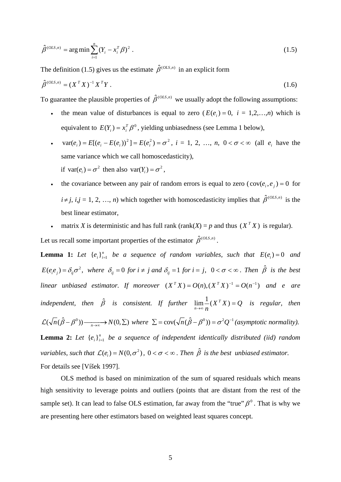$$
\hat{\beta}^{(OLS,n)} = \arg\min \sum_{i=1}^{n} (Y_i - x_i^T \beta)^2 \,. \tag{1.5}
$$

The definition (1.5) gives us the estimate  $\hat{\beta}^{(OLS,n)}$  in an explicit form

$$
\hat{\beta}^{(OLS,n)} = (X^T X)^{-1} X^T Y . \tag{1.6}
$$

To guarantee the plausible properties of  $\hat{\beta}^{(OLS,n)}$  we usually adopt the following assumptions:

- the mean value of disturbances is equal to zero  $(E(e_i) = 0, i = 1,2,...,n)$  which is equivalent to  $E(Y_i) = x_i^T \beta^0$ , yielding unbiasedness (see Lemma 1 below),
- $var(e_i) = E[(e_i E(e_i))^2] = E(e_i^2) = \sigma^2$ ,  $i = 1, 2, ..., n, 0 < \sigma < \infty$  (all  $e_i$  have the same variance which we call homoscedasticity), if  $var(e_i) = \sigma^2$  then also  $var(Y_i) = \sigma^2$ ,
- the covariance between any pair of random errors is equal to zero ( $cov(e_i, e_j) = 0$  for  $i \neq j$ ,  $i, j = 1, 2, ..., n$ ) which together with homoscedasticity implies that  $\hat{\beta}^{(OLS,n)}$  is the best linear estimator,
- matrix *X* is deterministic and has full rank (rank(*X*) = *p* and thus ( $X^T X$ ) is regular).

Let us recall some important properties of the estimator  $\hat{\beta}^{(OLS,n)}$ .

**Lemma 1:** Let  $\{e_i\}_{i=1}^n$  be a sequence of random variables, such that  $E(e_i) = 0$  and  $E(e_ie_j) = \delta_{ij}\sigma^2$ , where  $\delta_{ij} = 0$  for  $i \neq j$  and  $\delta_{ij} = 1$  for  $i = j$ ,  $0 < \sigma < \infty$ . Then  $\hat{\beta}$  is the best *linear unbiased estimator. If moreover*  $(X^T X) = O(n)$ ,  $(X^T X)^{-1} = O(n^{-1})$  and e are *independent, then*  $\hat{\beta}$  *is consistent. If further*  $\lim_{x \to a} \frac{1}{x} (X^T X) = Q$ *n T*  $\lim_{n\to\infty} \frac{1}{n}(X^T X) = Q$  is regular, then  $\mathcal{L}(\sqrt{n}(\hat{\beta}-\beta^0))$   $\longrightarrow$   $N(0,\Sigma)$  where  $\Sigma = \text{cov}(\sqrt{n}(\hat{\beta}-\beta^0)) = \sigma^2 Q^{-1}$  (asymptotic normality). **Lemma 2:** Let  $\{e_i\}_{i=1}^n$  be a sequence of independent identically distributed (iid) random *variables, such that*  $\mathcal{L}(e_i) = N(0, \sigma^2)$ ,  $0 < \sigma < \infty$ . Then  $\hat{\beta}$  is the best unbiased estimator. For details see [Víšek 1997].

 OLS method is based on minimization of the sum of squared residuals which means high sensitivity to leverage points and outliers (points that are distant from the rest of the sample set). It can lead to false OLS estimation, far away from the "true"  $\beta^0$ . That is why we are presenting here other estimators based on weighted least squares concept.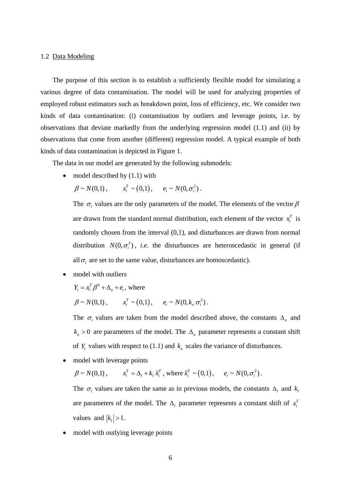#### 1.2 Data Modeling

The purpose of this section is to establish a sufficiently flexible model for simulating a various degree of data contamination. The model will be used for analyzing properties of employed robust estimators such as breakdown point, loss of efficiency, etc. We consider two kinds of data contamination: (i) contamination by outliers and leverage points, i.e. by observations that deviate markedly from the underlying regression model (1.1) and (ii) by observations that come from another (different) regression model. A typical example of both kinds of data contamination is depicted in Figure 1.

The data in our model are generated by the following submodels:

• model described by  $(1.1)$  with

$$
\beta \sim N(0,1)\,, \qquad x_i^T \sim (0,1)\,, \qquad e_i \sim N(0,\sigma_i^2)\,.
$$

The  $\sigma_i$  values are the only parameters of the model. The elements of the vector  $\beta$ are drawn from the standard normal distribution, each element of the vector  $x_i^T$  is randomly chosen from the interval (0,1), and disturbances are drawn from normal distribution  $N(0, \sigma_i^2)$ , *i.e.* the disturbances are heteroscedastic in general (if all  $\sigma_i$  are set to the same value, disturbances are homoscedastic).

model with outliers

$$
Y_i = x_i^T \beta^0 + \Delta_o + e_i, \text{ where}
$$
  

$$
\beta \sim N(0,1), \qquad x_i^T \sim (0,1), \qquad e_i \sim N(0, k_o \sigma_i^2).
$$

The  $\sigma_i$  values are taken from the model described above, the constants  $\Delta_{\alpha}$  and  $k_{\rho} > 0$  are parameters of the model. The  $\Delta_{\rho}$  parameter represents a constant shift of  $Y_i$  values with respect to (1.1) and  $k_o$  scales the variance of disturbances.

model with leverage points

$$
\beta \sim N(0,1) , \qquad x_i^T = \Delta_i + k_i \, \tilde{x}_i^T \, , \text{ where } \tilde{x}_i^T \sim (0,1) \, , \qquad e_i \sim N(0, \sigma_i^2) \, .
$$

The  $\sigma_i$  values are taken the same as in previous models, the constants  $\Delta_i$  and  $k_i$ are parameters of the model. The  $\Delta$ <sub>*l*</sub> parameter represents a constant shift of  $x_i^T$ values and  $|k_1| > 1$ .

model with outlying leverage points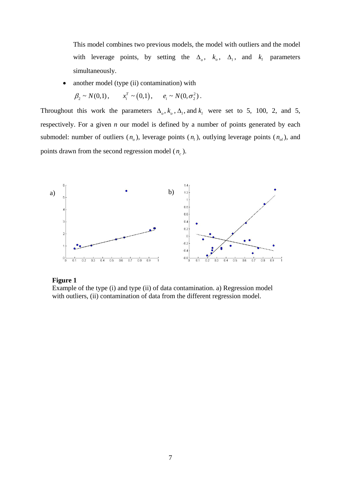This model combines two previous models, the model with outliers and the model with leverage points, by setting the  $\Delta_o$ ,  $k_o$ ,  $\Delta_l$ , and  $k_l$  parameters simultaneously.

another model (type (ii) contamination) with

 $\beta_2 \sim N(0,1)$ ,  $x_i^T \sim (0,1)$ ,  $e_i \sim N(0, \sigma_2^2)$ .

Throughout this work the parameters  $\Delta_o$ ,  $k_o$ ,  $\Delta_l$ , and  $k_l$  were set to 5, 100, 2, and 5, respectively. For a given *n* our model is defined by a number of points generated by each submodel: number of outliers  $(n_a)$ , leverage points  $(n_t)$ , outlying leverage points  $(n_a)$ , and points drawn from the second regression model  $(n_c)$ .



#### **Figure 1**

Example of the type (i) and type (ii) of data contamination. a) Regression model with outliers, (ii) contamination of data from the different regression model.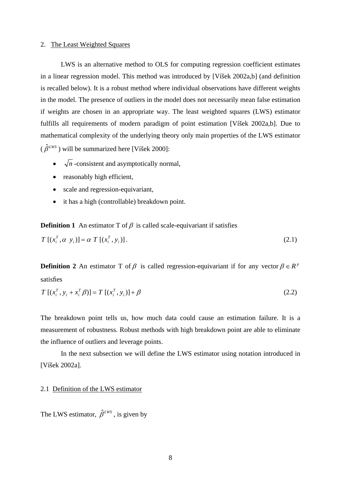#### 2. The Least Weighted Squares

 LWS is an alternative method to OLS for computing regression coefficient estimates in a linear regression model. This method was introduced by [Víšek 2002a,b] (and definition is recalled below). It is a robust method where individual observations have different weights in the model. The presence of outliers in the model does not necessarily mean false estimation if weights are chosen in an appropriate way. The least weighted squares (LWS) estimator fulfills all requirements of modern paradigm of point estimation [Víšek 2002a,b]. Due to mathematical complexity of the underlying theory only main properties of the LWS estimator  $(\hat{B}^{LWS})$  will be summarized here [Víšek 2000]:

- $\sqrt{n}$  -consistent and asymptotically normal,
- reasonably high efficient,
- scale and regression-equivariant,
- it has a high (controllable) breakdown point.

**Definition 1** An estimator T of  $\beta$  is called scale-equivariant if satisfies

$$
T\left[ (x_i^T, \alpha \ y_i) \right] = \alpha \ T\left[ (x_i^T, y_i) \right]. \tag{2.1}
$$

**Definition 2** An estimator T of  $\beta$  is called regression-equivariant if for any vector  $\beta \in R^p$ satisfies

$$
T[(x_i^T, y_i + x_i^T \beta)] = T[(x_i^T, y_i)] + \beta
$$
\n(2.2)

The breakdown point tells us, how much data could cause an estimation failure. It is a measurement of robustness. Robust methods with high breakdown point are able to eliminate the influence of outliers and leverage points.

 In the next subsection we will define the LWS estimator using notation introduced in [Víšek 2002a].

#### 2.1 Definition of the LWS estimator

The LWS estimator,  $\hat{\beta}^{LWS}$ , is given by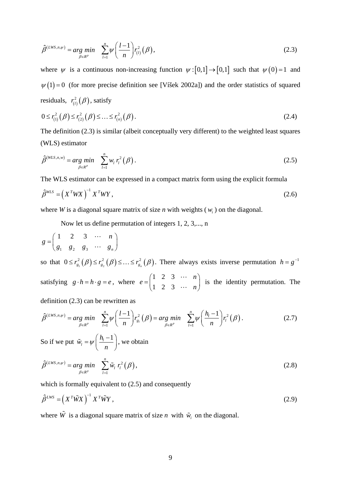$$
\hat{\beta}^{(LWS,n,\psi)} = \arg\min_{\beta \in R^p} \sum_{l=1}^n \psi\left(\frac{l-1}{n}\right) r_{(l)}^2(\beta),
$$
\n(2.3)

where  $\psi$  is a continuous non-increasing function  $\psi : [0,1] \to [0,1]$  such that  $\psi(0) = 1$  and  $\psi(1) = 0$  (for more precise definition see [Víšek 2002a]) and the order statistics of squared residuals,  $r_{(l)}^2(\beta)$ , satisfy

$$
0 \le r_{(1)}^2(\beta) \le r_{(2)}^2(\beta) \le \dots \le r_{(n)}^2(\beta).
$$
\n(2.4)

The definition (2.3) is similar (albeit conceptually very different) to the weighted least squares (WLS) estimator

$$
\hat{\beta}^{(WLS,n,w)} = \underset{\beta \in R^p}{\arg \ min} \quad \sum_{l=1}^n w_l \, r_l^2 \left( \beta \right). \tag{2.5}
$$

The WLS estimator can be expressed in a compact matrix form using the explicit formula

$$
\hat{\beta}^{WLS} = \left(X^T W X\right)^{-1} X^T W Y, \qquad (2.6)
$$

where *W* is a diagonal square matrix of size *n* with weights (*w*<sub>i</sub>) on the diagonal.

Now let us define permutation of integers 1, 2, 3,..., n

$$
g = \begin{pmatrix} 1 & 2 & 3 & \cdots & n \\ g_1 & g_2 & g_3 & \cdots & g_n \end{pmatrix}
$$

so that  $0 \le r_{g_1}^2(\beta) \le r_{g_2}^2(\beta) \le \ldots \le r_{g_n}^2(\beta)$ . There always exists inverse permutation  $h = g^{-1}$ satisfying  $g \cdot h = h \cdot g = e$ , where 123 123 *n e*  $=\begin{pmatrix} 1 & 2 & 3 & \cdots & n \\ 1 & 2 & 3 & \cdots & n \end{pmatrix}$  $\begin{bmatrix} n \\ n \end{bmatrix}$  is the identity permutation. The

definition (2.3) can be rewritten as

$$
\hat{\beta}^{(LWS,n,\psi)} = \underset{\beta \in R^p}{\arg \ min} \quad \sum_{l=1}^n \psi \left( \frac{l-1}{n} \right) r_{g_l}^2 \left( \beta \right) = \underset{\beta \in R^p}{\arg \ min} \quad \sum_{l=1}^n \psi \left( \frac{h_l-1}{n} \right) r_l^2 \left( \beta \right). \tag{2.7}
$$

So if we put  $\tilde{w}_l = \psi \left( \frac{h_l - 1}{n} \right)$  $\tilde{w}_i = \psi \left( \frac{h}{h} \right)$  $\psi\left(\frac{1}{n}\right)$  $\tilde{w}_l = \psi\left(\frac{h_l - 1}{n}\right)$ , we obtain

$$
\hat{\beta}^{(LWS,n,\psi)} = \underset{\beta \in R^p}{\arg \ min} \quad \sum_{l=1}^n \tilde{w}_l \ r_l^2(\beta), \tag{2.8}
$$

which is formally equivalent to (2.5) and consequently

$$
\hat{\beta}^{LWS} = \left(X^T \tilde{W} X\right)^{-1} X^T \tilde{W} Y, \qquad (2.9)
$$

where  $\tilde{W}$  is a diagonal square matrix of size *n* with  $\tilde{w}_i$  on the diagonal.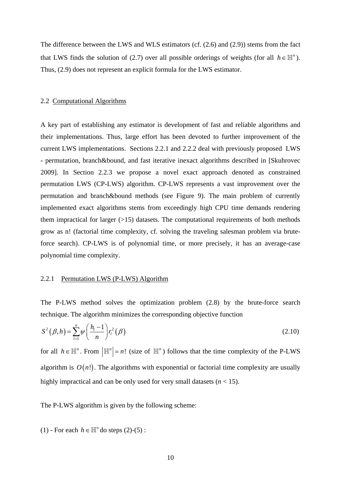The difference between the LWS and WLS estimators (cf. (2.6) and (2.9)) stems from the fact that LWS finds the solution of (2.7) over all possible orderings of weights (for all  $h \in \mathbb{H}^n$ ). Thus, (2.9) does not represent an explicit formula for the LWS estimator.

#### 2.2 Computational Algorithms

A key part of establishing any estimator is development of fast and reliable algorithms and their implementations. Thus, large effort has been devoted to further improvement of the current LWS implementations. Sections 2.2.1 and 2.2.2 deal with previously proposed LWS - permutation, branch&bound, and fast iterative inexact algorithms described in [Skuhrovec 2009]. In Section 2.2.3 we propose a novel exact approach denoted as constrained permutation LWS (CP-LWS) algorithm. CP-LWS represents a vast improvement over the permutation and branch&bound methods (see Figure 9). The main problem of currently implemented exact algorithms stems from exceedingly high CPU time demands rendering them impractical for larger  $(>15)$  datasets. The computational requirements of both methods grow as n! (factorial time complexity, cf. solving the traveling salesman problem via bruteforce search). CP-LWS is of polynomial time, or more precisely, it has an average-case polynomial time complexity.

#### 2.2.1 Permutation LWS (P-LWS) Algorithm

The P-LWS method solves the optimization problem (2.8) by the brute-force search technique. The algorithm minimizes the corresponding objective function

$$
S^{2}(\beta, h) = \sum_{l=1}^{n} \psi\left(\frac{h_{l} - 1}{n}\right) r_{l}^{2}(\beta)
$$
 (2.10)

for all  $h \in \mathbb{H}^n$ . From  $|\mathbb{H}^n| = n!$  (size of  $\mathbb{H}^n$ ) follows that the time complexity of the P-LWS algorithm is  $O(n!)$ . The algorithms with exponential or factorial time complexity are usually highly impractical and can be only used for very small datasets  $(n < 15)$ .

The P-LWS algorithm is given by the following scheme:

(1) - For each  $h \in \mathbb{H}^n$  do steps (2)-(5):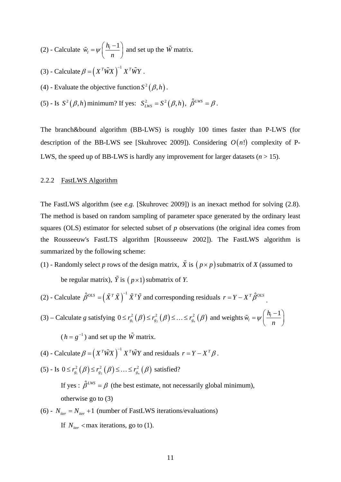- (2) Calculate  $\tilde{w}_l = \psi \left( \frac{h_l 1}{n} \right)$  $\tilde{w}_i = \psi \left( \frac{h}{h} \right)$  $\psi\left(\frac{1}{n}\right)$  $\tilde{w}_l = \psi \left( \frac{h_l - 1}{n} \right)$  and set up the  $\tilde{W}$  matrix.
- (3) Calculate  $\beta = (X^T \tilde{W} X)^{-1} X^T \tilde{W} Y$ .
- (4) Evaluate the objective function  $S^2(\beta, h)$ .
- (5) Is  $S^2(\beta, h)$  minimum? If yes:  $S_{LWS}^2 = S^2(\beta, h)$ ,  $\hat{\beta}^{LWS} = \beta$ .

The branch&bound algorithm (BB-LWS) is roughly 100 times faster than P-LWS (for description of the BB-LWS see [Skuhrovec 2009]). Considering  $O(n!)$  complexity of P-LWS, the speed up of BB-LWS is hardly any improvement for larger datasets  $(n > 15)$ .

#### 2.2.2 FastLWS Algorithm

The FastLWS algorithm (see *e.g.* [Skuhrovec 2009]) is an inexact method for solving (2.8). The method is based on random sampling of parameter space generated by the ordinary least squares (OLS) estimator for selected subset of *p* observations (the original idea comes from the Rousseeuw's FastLTS algorithm [Rousseeuw 2002]). The FastLWS algorithm is summarized by the following scheme:

- (1) Randomly select *p* rows of the design matrix,  $\tilde{X}$  is  $(p \times p)$  submatrix of *X* (assumed to be regular matrix),  $\tilde{Y}$  is  $(p \times 1)$  submatrix of *Y*.
- (2) Calculate  $\hat{\beta}^{OLS} = (\tilde{X}^T \tilde{X})^{-1} \tilde{X}^T \tilde{Y}$  and corresponding residuals  $r = Y X^T \hat{\beta}^{OLS}$ .
- (3) Calculate *g* satisfying  $0 \le r_{g_1}^2(\beta) \le r_{g_2}^2(\beta) \le \ldots \le r_{g_n}^2(\beta)$  and weights  $\tilde{w}_l = \psi \left( \frac{h_l 1}{n} \right)$  $\tilde{w}_i = \psi \left( \frac{h}{h} \right)$  $\psi\left(\frac{1}{n}\right)$  $\tilde{w}_l = \psi \left( \frac{h_l - 1}{n} \right)$

 $(h = g^{-1})$  and set up the  $\tilde{W}$  matrix.

- (4) Calculate  $\beta = (X^T \tilde{W} X)^{-1} X^T \tilde{W} Y$  and residuals  $r = Y X^T \beta$ .
- $(5)$  Is  $0 \le r_{g_1}^2(\beta) \le r_{g_2}^2(\beta) \le ... \le r_{g_n}^2(\beta)$  satisfied?

If yes :  $\hat{\beta}^{LWS} = \beta$  (the best estimate, not necessarily global minimum), otherwise go to (3)

(6) -  $N_{\text{iter}} = N_{\text{iter}} + 1$  (number of FastLWS iterations/evaluations)

If  $N_{iter}$  < max iterations, go to (1).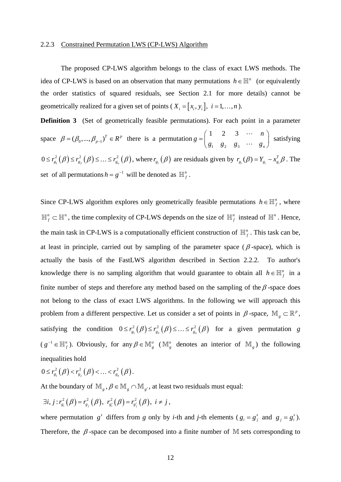#### 2.2.3 Constrained Permutation LWS (CP-LWS) Algorithm

The proposed CP-LWS algorithm belongs to the class of exact LWS methods. The idea of CP-LWS is based on an observation that many permutations  $h \in \mathbb{H}^n$  (or equivalently the order statistics of squared residuals, see Section 2.1 for more details) cannot be geometrically realized for a given set of points ( $X_i = [x_i, y_i]$ ,  $i = 1,...,n$ ).

**Definition 3** (Set of geometrically feasible permutations). For each point in a parameter space  $\beta = (\beta_0, ..., \beta_{p-1})^T \in R^p$  there is a permutation 1  $82$   $83$ 123 *n n g*  $=\begin{pmatrix} 1 & 2 & 3 & \cdots & n \\ g_1 & g_2 & g_3 & \cdots & g_n \end{pmatrix}$  $\begin{bmatrix} a_1 \\ \vdots \\ a_n \end{bmatrix}$  satisfying  $0 \le r_{g_1}^2(\beta) \le r_{g_2}^2(\beta) \le \ldots \le r_{g_n}^2(\beta)$ , where  $r_{g_i}(\beta)$  are residuals given by  $r_{g_i}(\beta) = Y_{g_i} - x_{g_i}^T(\beta)$  $r_{g_i}(\beta) = Y_{g_i} - x_{g_i}^T \beta$ . The set of all permutations  $h = g^{-1}$  will be denoted as  $\mathbb{H}_f^n$ .

Since CP-LWS algorithm explores only geometrically feasible permutations  $h \in \mathbb{H}_f^n$ , where  $\mathbb{H}^n_f \subset \mathbb{H}^n$ , the time complexity of CP-LWS depends on the size of  $\mathbb{H}^n_f$  instead of  $\mathbb{H}^n$ . Hence, the main task in CP-LWS is a computationally efficient construction of  $\mathbb{H}^n_f$ . This task can be, at least in principle, carried out by sampling of the parameter space ( $\beta$ -space), which is actually the basis of the FastLWS algorithm described in Section 2.2.2. To author's knowledge there is no sampling algorithm that would guarantee to obtain all  $h \in \mathbb{H}_f^n$  in a finite number of steps and therefore any method based on the sampling of the  $\beta$ -space does not belong to the class of exact LWS algorithms. In the following we will approach this problem from a different perspective. Let us consider a set of points in  $\beta$ -space,  $\mathbb{M}_{g} \subset \mathbb{R}^{p}$ , satisfying the condition  $0 \le r_{g_1}^2(\beta) \le r_{g_2}^2(\beta) \le ... \le r_{g_n}^2(\beta)$  for a given permutation *g*  $(g^{-1} \in \mathbb{H}^n)$ . Obviously, for any  $\beta \in \mathbb{M}^o$  ( $\mathbb{M}^o$  denotes an interior of  $\mathbb{M}^o$ ) the following inequalities hold

$$
0 \leq r_{g_1}^2(\beta) < r_{g_2}^2(\beta) < \ldots < r_{g_n}^2(\beta).
$$

At the boundary of  $\mathbb{M}_g$ ,  $\beta \in \mathbb{M}_g \cap \mathbb{M}_{g'}$ , at least two residuals must equal:

$$
\exists i, j: r_{g_i}^2(\beta) = r_{g_j}^2(\beta), r_{g_i}^2(\beta) = r_{g_j}^2(\beta), i \neq j,
$$

where permutation *g*' differs from *g* only by *i*-th and *j*-th elements ( $g_i = g'_i$  and  $g_j = g'_i$ ). Therefore, the  $\beta$ -space can be decomposed into a finite number of M sets corresponding to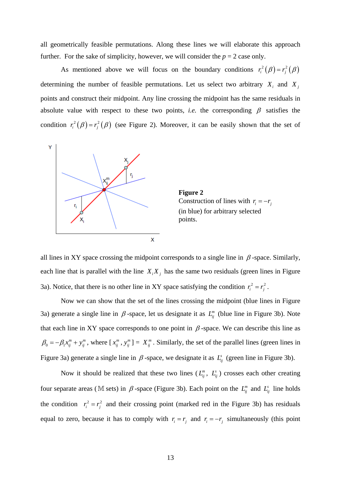all geometrically feasible permutations. Along these lines we will elaborate this approach further. For the sake of simplicity, however, we will consider the  $p = 2$  case only.

As mentioned above we will focus on the boundary conditions  $r_i^2(\beta) = r_j^2(\beta)$ determining the number of feasible permutations. Let us select two arbitrary  $X_i$  and  $X_j$ points and construct their midpoint. Any line crossing the midpoint has the same residuals in absolute value with respect to these two points, *i.e.* the corresponding  $\beta$  satisfies the condition  $r_i^2(\beta) = r_j^2(\beta)$  (see Figure 2). Moreover, it can be easily shown that the set of



**Figure 2**  Construction of lines with  $r_i = -r_i$ (in blue) for arbitrary selected points.

all lines in XY space crossing the midpoint corresponds to a single line in  $\beta$ -space. Similarly, each line that is parallel with the line  $X_i X_j$  has the same two residuals (green lines in Figure 3a). Notice, that there is no other line in XY space satisfying the condition  $r_i^2 = r_j^2$ .

Now we can show that the set of the lines crossing the midpoint (blue lines in Figure 3a) generate a single line in  $\beta$ -space, let us designate it as  $L_{ij}^m$  (blue line in Figure 3b). Note that each line in XY space corresponds to one point in  $\beta$ -space. We can describe this line as  $_{0}$  -  $-\mu_{1}$  $\beta_0 = -\beta_1 x_{ij}^m + y_{ij}^m$ , where  $[x_{ij}^m, y_{ij}^m] = X_{ij}^m$ . Similarly, the set of the parallel lines (green lines in Figure 3a) generate a single line in  $\beta$ -space, we designate it as  $L_{ij}^s$  (green line in Figure 3b).

Now it should be realized that these two lines  $(L_{ij}^m, L_{ij}^s)$  crosses each other creating four separate areas (M sets) in  $\beta$ -space (Figure 3b). Each point on the  $L_{ij}^m$  and  $L_{ij}^s$  line holds the condition  $r_i^2 = r_j^2$  and their crossing point (marked red in the Figure 3b) has residuals equal to zero, because it has to comply with  $r_i = r_j$  and  $r_i = -r_j$  simultaneously (this point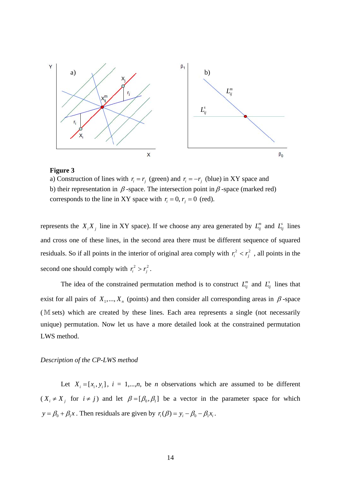

#### **Figure 3**

a) Construction of lines with  $r_i = r_j$  (green) and  $r_i = -r_j$  (blue) in XY space and b) their representation in  $\beta$ -space. The intersection point in  $\beta$ -space (marked red) corresponds to the line in XY space with  $r_i = 0$ ,  $r_j = 0$  (red).

represents the  $X_i X_j$  line in XY space). If we choose any area generated by  $L_{ij}^m$  and  $L_{ij}^s$  lines and cross one of these lines, in the second area there must be different sequence of squared residuals. So if all points in the interior of original area comply with  $r_i^2 < r_j^2$ , all points in the second one should comply with  $r_i^2 > r_j^2$ .

The idea of the constrained permutation method is to construct  $L_{ij}^m$  and  $L_{ij}^s$  lines that exist for all pairs of  $X_1, ..., X_n$  (points) and then consider all corresponding areas in  $\beta$ -space  $(M \text{ sets})$  which are created by these lines. Each area represents a single (not necessarily unique) permutation. Now let us have a more detailed look at the constrained permutation LWS method.

#### *Description of the CP-LWS method*

Let  $X_i = [x_i, y_i]$ ,  $i = 1,...,n$ , be *n* observations which are assumed to be different  $(X_i \neq X_j$  for  $i \neq j$ ) and let  $\beta = [\beta_0, \beta_1]$  be a vector in the parameter space for which  $y = \beta_0 + \beta_1 x$ . Then residuals are given by  $r_i(\beta) = y_i - \beta_0 - \beta_1 x_i$ .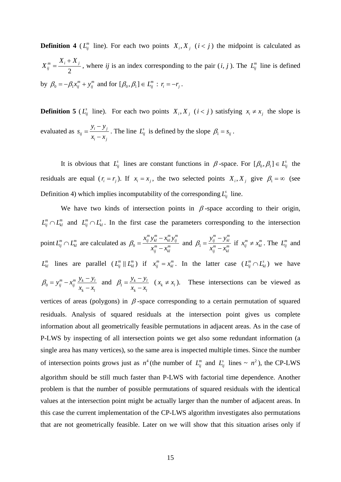**Definition 4** ( $L_{ij}^m$  line). For each two points  $X_i, X_j$  ( $i < j$ ) the midpoint is calculated as 2  $m$   $\mathbf{A}_i$   $\mathbf{A}_j$ *ij*  $X_i + X$  $X_{ij}^{m} = \frac{X_i + X_j}{2}$ , where *ij* is an index corresponding to the pair  $(i, j)$ . The  $L_{ij}^{m}$  line is defined by  $\beta_0 = -\beta_1 x_{ij}^m + y_{ij}^m$  and for  $[\beta_0, \beta_1] \in L_{ij}^m : r_i = -r_j$ .

**Definition 5** ( $L_{ij}^s$  line). For each two points  $X_i, X_j$  ( $i < j$ ) satisfying  $x_i \neq x_j$  the slope is evaluated as  $s_{ij} = \frac{y_i - y_j}{\cdot}$ *i j*  $y_i - y$ *s*  $=\frac{y_i - y_j}{x_i - x_j}$ . The line  $L_{ij}^s$  is defined by the slope  $\beta_1 = s_{ij}$ .

It is obvious that  $L_{ij}^s$  lines are constant functions in  $\beta$ -space. For  $[\beta_0, \beta_1] \in L_{ij}^s$  the residuals are equal  $(r_i = r_j)$ . If  $x_i = x_j$ , the two selected points  $X_i, X_j$  give  $\beta_1 = \infty$  (see Definition 4) which implies incomputability of the corresponding  $L_{ij}^s$  line.

We have two kinds of intersection points in  $\beta$ -space according to their origin,  $L_{ij}^m \cap L_{kl}^m$  and  $L_{ij}^m \cap L_{kl}^s$ . In the first case the parameters corresponding to the intersection point  $L_{ij}^m \cap L_{kl}^m$  are calculated as  $\beta_0$  $m_m$  *m*<sub>n</sub> *ij*  $y_{kl} - x_{kl} y_{ij}$ *m m ij kl*  $x_{ii}^m y_{kl}^m - x_{kl}^m y_{kl}^m$  $\beta_0 = \frac{x_{ij}^m y_{kl}^m - x_{kl}^m y_{ij}^m}{x_{ii}^m - x_{kl}^m}$  and  $\beta_1 = \frac{y_{ij}^m - y_{kl}^m}{x_{ii}^m - x_{kl}^m}$  $_{ij}$   $-y_{kl}$ *m m ij kl*  $y_{ii}^m - y$  $\beta_1 = \frac{y_{ij}^m - y_{kl}^m}{x_{ij}^m - x_{kl}^m}$  if  $x_{ij}^m \neq x_{kl}^m$ . The  $L_{ij}^m$  and  $L_{kl}^m$  lines are parallel  $(L_{ij}^m || L_{kl}^m)$  if  $x_{ij}^m = x_{kl}^m$ . In the latter case  $(L_{ij}^m \cap L_{kl}^s)$  we have  $\mathbf{y}_{0}^{n} = \mathbf{y}_{ij}^{m} - \mathbf{x}_{ij}^{m} \frac{\mathbf{y}_{k} - \mathbf{y}_{ij}}{\mathbf{x}_{ij}}$  $k \sim l$  $y_{ii}^m - x_{ii}^m \frac{y_k - y_{ii}}{y_{ii}}$  $\beta_0 = y_{ij}^m - x_{ij}^m \frac{y_k - y_l}{x_k - x_l}$  and  $\beta_1 = \frac{y_k - y_l}{x_k - x_l}$  $k \sim l$  $y_k - y$  $\beta_1 = \frac{y_k - y_l}{x_k - x_l}$  ( $x_k \neq x_l$ ). These intersections can be viewed as vertices of areas (polygons) in  $\beta$ -space corresponding to a certain permutation of squared residuals. Analysis of squared residuals at the intersection point gives us complete information about all geometrically feasible permutations in adjacent areas. As in the case of P-LWS by inspecting of all intersection points we get also some redundant information (a single area has many vertices), so the same area is inspected multiple times. Since the number of intersection points grows just as  $n^4$  (the number of  $L_{ij}^m$  and  $L_{ij}^s$  lines  $\sim n^2$ ), the CP-LWS algorithm should be still much faster than P-LWS with factorial time dependence. Another problem is that the number of possible permutations of squared residuals with the identical values at the intersection point might be actually larger than the number of adjacent areas. In this case the current implementation of the CP-LWS algorithm investigates also permutations that are not geometrically feasible. Later on we will show that this situation arises only if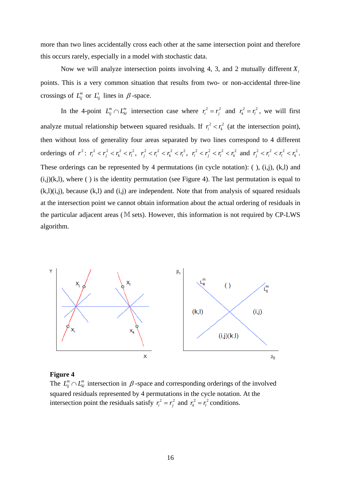more than two lines accidentally cross each other at the same intersection point and therefore this occurs rarely, especially in a model with stochastic data.

Now we will analyze intersection points involving 4, 3, and 2 mutually different  $X_i$ points. This is a very common situation that results from two- or non-accidental three-line crossings of  $L_{ij}^m$  or  $L_{ij}^s$  lines in  $\beta$ -space.

In the 4-point  $L_{ij}^m \cap L_{kl}^m$  intersection case where  $r_i^2 = r_j^2$  and  $r_k^2 = r_l^2$ , we will first analyze mutual relationship between squared residuals. If  $r_i^2 < r_k^2$  (at the intersection point), then without loss of generality four areas separated by two lines correspond to 4 different orderings of  $r^2$ :  $r_i^2 < r_i^2 < r_i^2 < r_i^2$ ,  $r_i^2 < r_i^2 < r_i^2 < r_i^2$ ,  $r_i^2 < r_i^2 < r_i^2 < r_i^2$  and  $r_j^2 < r_i^2 < r_i^2 < r_i^2$ . These orderings can be represented by 4 permutations (in cycle notation): ( ), (i,j), (k,l) and  $(i,j)(k,l)$ , where () is the identity permutation (see Figure 4). The last permutation is equal to  $(k,l)(i,j)$ , because  $(k,l)$  and  $(i,j)$  are independent. Note that from analysis of squared residuals at the intersection point we cannot obtain information about the actual ordering of residuals in the particular adjacent areas ( $M$  sets). However, this information is not required by CP-LWS algorithm.



#### **Figure 4**

The  $L_{ii}^m \cap L_{kl}^m$  intersection in  $\beta$ -space and corresponding orderings of the involved squared residuals represented by 4 permutations in the cycle notation. At the intersection point the residuals satisfy  $r_i^2 = r_j^2$  and  $r_k^2 = r_l^2$  conditions.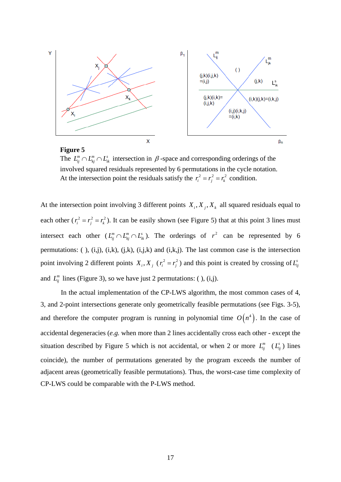

The  $L_{ii}^m \cap L_{ki}^m \cap L_{ik}^s$  intersection in  $\beta$ -space and corresponding orderings of the involved squared residuals represented by 6 permutations in the cycle notation. At the intersection point the residuals satisfy the  $r_i^2 = r_j^2 = r_k^2$  condition.

At the intersection point involving 3 different points  $X_i, X_j, X_k$  all squared residuals equal to each other  $(r_i^2 = r_j^2 = r_k^2)$ . It can be easily shown (see Figure 5) that at this point 3 lines must intersect each other  $(L_{ij}^m \cap L_{kj}^m \cap L_{ik}^s)$ . The orderings of  $r^2$  can be represented by 6 permutations: ( ), (i,j), (i,k), (j,k), (i,j,k) and (i,k,j). The last common case is the intersection point involving 2 different points  $X_i$ ,  $X_j$  ( $r_i^2 = r_j^2$ ) and this point is created by crossing of  $L_{ij}^s$ and  $L_{ii}^{m}$  lines (Figure 3), so we have just 2 permutations: ( ), (i,j).

 In the actual implementation of the CP-LWS algorithm, the most common cases of 4, 3, and 2-point intersections generate only geometrically feasible permutations (see Figs. 3-5), and therefore the computer program is running in polynomial time  $O(n^4)$ . In the case of accidental degeneracies (*e.g.* when more than 2 lines accidentally cross each other - except the situation described by Figure 5 which is not accidental, or when 2 or more  $L_{ii}^m$  ( $L_{ij}^s$ ) lines coincide), the number of permutations generated by the program exceeds the number of adjacent areas (geometrically feasible permutations). Thus, the worst-case time complexity of CP-LWS could be comparable with the P-LWS method.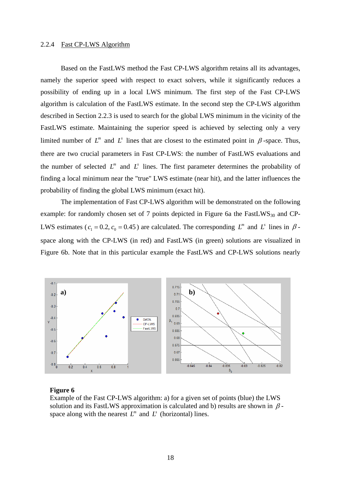#### 2.2.4 Fast CP-LWS Algorithm

Based on the FastLWS method the Fast CP-LWS algorithm retains all its advantages, namely the superior speed with respect to exact solvers, while it significantly reduces a possibility of ending up in a local LWS minimum. The first step of the Fast CP-LWS algorithm is calculation of the FastLWS estimate. In the second step the CP-LWS algorithm described in Section 2.2.3 is used to search for the global LWS minimum in the vicinity of the FastLWS estimate. Maintaining the superior speed is achieved by selecting only a very limited number of  $L^m$  and  $L^s$  lines that are closest to the estimated point in  $\beta$ -space. Thus, there are two crucial parameters in Fast CP-LWS: the number of FastLWS evaluations and the number of selected  $L^m$  and  $L^s$  lines. The first parameter determines the probability of finding a local minimum near the "true" LWS estimate (near hit), and the latter influences the probability of finding the global LWS minimum (exact hit).

The implementation of Fast CP-LWS algorithm will be demonstrated on the following example: for randomly chosen set of 7 points depicted in Figure 6a the FastLWS $_{30}$  and CP-LWS estimates ( $c_1 = 0.2$ ,  $c_0 = 0.45$ ) are calculated. The corresponding  $L^m$  and  $L^s$  lines in  $\beta$ space along with the CP-LWS (in red) and FastLWS (in green) solutions are visualized in Figure 6b. Note that in this particular example the FastLWS and CP-LWS solutions nearly



#### **Figure 6**

Example of the Fast CP-LWS algorithm: a) for a given set of points (blue) the LWS solution and its FastLWS approximation is calculated and b) results are shown in  $\beta$ space along with the nearest  $L^m$  and  $L^s$  (horizontal) lines.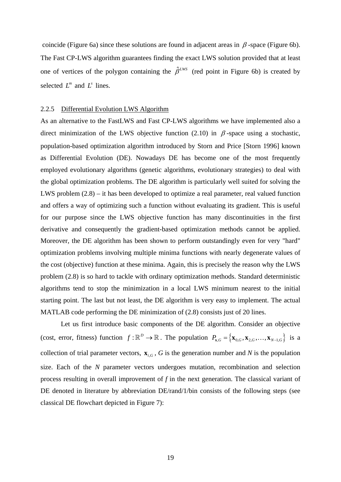coincide (Figure 6a) since these solutions are found in adjacent areas in  $\beta$ -space (Figure 6b). The Fast CP-LWS algorithm guarantees finding the exact LWS solution provided that at least one of vertices of the polygon containing the  $\hat{\beta}^{LWS}$  (red point in Figure 6b) is created by selected  $L^m$  and  $L^s$  lines.

#### 2.2.5 Differential Evolution LWS Algorithm

As an alternative to the FastLWS and Fast CP-LWS algorithms we have implemented also a direct minimization of the LWS objective function (2.10) in  $\beta$ -space using a stochastic, population-based optimization algorithm introduced by Storn and Price [Storn 1996] known as Differential Evolution (DE). Nowadays DE has become one of the most frequently employed evolutionary algorithms (genetic algorithms, evolutionary strategies) to deal with the global optimization problems. The DE algorithm is particularly well suited for solving the LWS problem (2.8) – it has been developed to optimize a real parameter, real valued function and offers a way of optimizing such a function without evaluating its gradient. This is useful for our purpose since the LWS objective function has many discontinuities in the first derivative and consequently the gradient-based optimization methods cannot be applied. Moreover, the DE algorithm has been shown to perform outstandingly even for very "hard" optimization problems involving multiple minima functions with nearly degenerate values of the cost (objective) function at these minima. Again, this is precisely the reason why the LWS problem (2.8) is so hard to tackle with ordinary optimization methods. Standard deterministic algorithms tend to stop the minimization in a local LWS minimum nearest to the initial starting point. The last but not least, the DE algorithm is very easy to implement. The actual MATLAB code performing the DE minimization of (2.8) consists just of 20 lines.

Let us first introduce basic components of the DE algorithm. Consider an objective (cost, error, fitness) function  $f: \mathbb{R}^D \to \mathbb{R}$ . The population  $P_{\mathbf{x},G} = \{ \mathbf{x}_{0,G}, \mathbf{x}_{2,G}, \dots, \mathbf{x}_{N-1,G} \}$  is a collection of trial parameter vectors,  $\mathbf{x}_{i,G}$ , *G* is the generation number and *N* is the population size. Each of the *N* parameter vectors undergoes mutation, recombination and selection process resulting in overall improvement of *f* in the next generation. The classical variant of DE denoted in literature by abbreviation DE/rand/1/bin consists of the following steps (see classical DE flowchart depicted in Figure 7):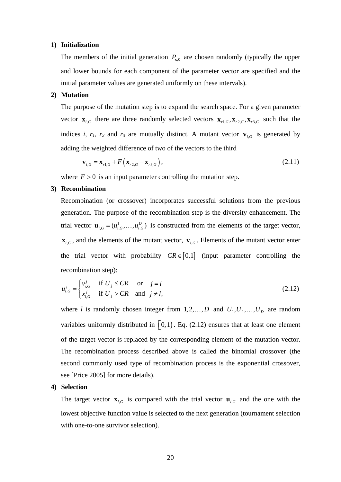#### **1) Initialization**

The members of the initial generation  $P_{\text{x,0}}$  are chosen randomly (typically the upper and lower bounds for each component of the parameter vector are specified and the initial parameter values are generated uniformly on these intervals).

#### **2) Mutation**

The purpose of the mutation step is to expand the search space. For a given parameter vector  $\mathbf{x}_{i,G}$  there are three randomly selected vectors  $\mathbf{x}_{r1,G}, \mathbf{x}_{r2,G}, \mathbf{x}_{r3,G}$  such that the indices *i*,  $r_1$ ,  $r_2$  and  $r_3$  are mutually distinct. A mutant vector  $\mathbf{v}_{i,G}$  is generated by adding the weighted difference of two of the vectors to the third

$$
\mathbf{v}_{i,G} = \mathbf{x}_{r1,G} + F\left(\mathbf{x}_{r2,G} - \mathbf{x}_{r3,G}\right),\tag{2.11}
$$

where  $F > 0$  is an input parameter controlling the mutation step.

#### **3) Recombination**

Recombination (or crossover) incorporates successful solutions from the previous generation. The purpose of the recombination step is the diversity enhancement. The trial vector  $\mathbf{u}_{i,G} = (u_{i,G}^1, \dots, u_{i,G}^D)$  is constructed from the elements of the target vector,  $\mathbf{x}_{i,G}$ , and the elements of the mutant vector,  $\mathbf{v}_{i,G}$ . Elements of the mutant vector enter the trial vector with probability  $CR \in [0,1]$  (input parameter controlling the recombination step):

$$
u_{i,G}^j = \begin{cases} v_{i,G}^j & \text{if } U_j \le CR & \text{or } j = l \\ x_{i,G}^j & \text{if } U_j > CR & \text{and } j \ne l, \end{cases}
$$
 (2.12)

where *l* is randomly chosen integer from 1,2,..., *D* and  $U_1, U_2, \ldots, U_p$  are random variables uniformly distributed in  $\lceil 0, 1 \rceil$ . Eq. (2.12) ensures that at least one element of the target vector is replaced by the corresponding element of the mutation vector. The recombination process described above is called the binomial crossover (the second commonly used type of recombination process is the exponential crossover, see [Price 2005] for more details).

#### **4) Selection**

The target vector  $\mathbf{x}_{i,G}$  is compared with the trial vector  $\mathbf{u}_{i,G}$  and the one with the lowest objective function value is selected to the next generation (tournament selection with one-to-one survivor selection).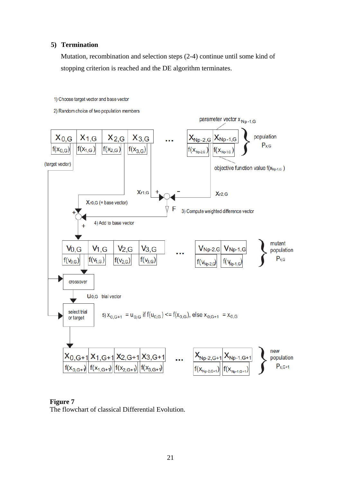#### **5) Termination**

Mutation, recombination and selection steps (2-4) continue until some kind of stopping criterion is reached and the DE algorithm terminates.



#### **Figure 7**

The flowchart of classical Differential Evolution.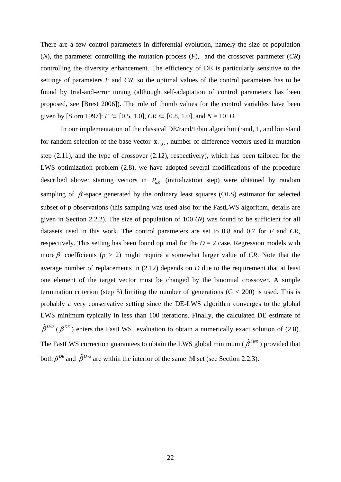There are a few control parameters in differential evolution, namely the size of population (*N*), the parameter controlling the mutation process (*F*), and the crossover parameter (*CR*) controlling the diversity enhancement. The efficiency of DE is particularly sensitive to the settings of parameters *F* and *CR*, so the optimal values of the control parameters has to be found by trial-and-error tuning (although self-adaptation of control parameters has been proposed, see [Brest 2006]). The rule of thumb values for the control variables have been given by [Storn 1997]:  $F \in [0.5, 1.0]$ ,  $CR \in [0.8, 1.0]$ , and  $N = 10 \cdot D$ .

 In our implementation of the classical DE/rand/1/bin algorithm (rand, 1, and bin stand for random selection of the base vector  $\mathbf{x}_{r \perp G}$ , number of difference vectors used in mutation step (2.11), and the type of crossover (2.12), respectively), which has been tailored for the LWS optimization problem (2.8), we have adopted several modifications of the procedure described above: starting vectors in  $P_{\text{x,0}}$  (initialization step) were obtained by random sampling of  $\beta$ -space generated by the ordinary least squares (OLS) estimator for selected subset of *p* observations (this sampling was used also for the FastLWS algorithm, details are given in Section 2.2.2). The size of population of 100 (*N*) was found to be sufficient for all datasets used in this work. The control parameters are set to 0.8 and 0.7 for *F* and *CR*, respectively. This setting has been found optimal for the  $D = 2$  case. Regression models with more  $\beta$  coefficients ( $p > 2$ ) might require a somewhat larger value of *CR*. Note that the average number of replacements in (2.12) depends on *D* due to the requirement that at least one element of the target vector must be changed by the binomial crossover. A simple termination criterion (step 5) limiting the number of generations  $(G < 200)$  is used. This is probably a very conservative setting since the DE-LWS algorithm converges to the global LWS minimum typically in less than 100 iterations. Finally, the calculated DE estimate of  $\hat{\beta}^{LWS}$  ( $\beta^{DE}$ ) enters the FastLWS<sub>1</sub> evaluation to obtain a numerically exact solution of (2.8). The FastLWS correction guarantees to obtain the LWS global minimum ( $\hat{\beta}^{LWS}$ ) provided that both  $\beta^{DE}$  and  $\hat{\beta}^{LWS}$  are within the interior of the same M set (see Section 2.2.3).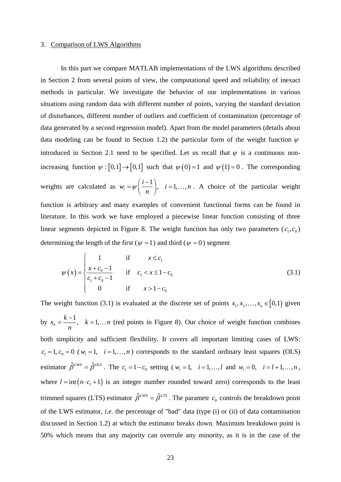#### 3. Comparison of LWS Algorithms

In this part we compare MATLAB implementations of the LWS algorithms described in Section 2 from several points of view, the computational speed and reliability of inexact methods in particular. We investigate the behavior of our implementations in various situations using random data with different number of points, varying the standard deviation of disturbances, different number of outliers and coefficient of contamination (percentage of data generated by a second regression model). Apart from the model parameters (details about data modeling can be found in Section 1.2) the particular form of the weight function  $\psi$ introduced in Section 2.1 need to be specified. Let us recall that  $\psi$  is a continuous nonincreasing function  $\psi : [0,1] \rightarrow [0,1]$  such that  $\psi(0) = 1$  and  $\psi(1) = 0$ . The corresponding weights are calculated as  $w_i = \psi\left(\frac{i-1}{i}\right), \quad i = 1, ..., n$  $\psi\left(\frac{n}{n}\right)$  $=\psi\left(\frac{i-1}{n}\right), i=1,\ldots,n$ . A choice of the particular weight function is arbitrary and many examples of convenient functional forms can be found in literature. In this work we have employed a piecewise linear function consisting of three linear segments depicted in Figure 8. The weight function has only two parameters  $(c_1, c_0)$ determining the length of the first ( $\psi = 1$ ) and third ( $\psi = 0$ ) segment

$$
\psi(x) = \begin{cases}\n1 & \text{if } x \le c_1 \\
\frac{x + c_0 - 1}{c_1 + c_0 - 1} & \text{if } c_1 < x \le 1 - c_0 \\
0 & \text{if } x > 1 - c_0\n\end{cases}
$$
\n(3.1)

The weight function (3.1) is evaluated at the discrete set of points  $x_1, x_2, ..., x_n \in [0,1)$  given by  $x_k = \frac{k-1}{k}$ ,  $k = 1,...,n$ *n*  $=\frac{k-1}{k}, k=1,...n$  (red points in Figure 8). Our choice of weight function combines both simplicity and sufficient flexibility. It covers all important limiting cases of LWS:  $c_1 = 1, c_0 = 0$  ( $w_i = 1, i = 1,...,n$ ) corresponds to the standard ordinary least squares (OLS) estimator  $\hat{\beta}^{LWS} = \hat{\beta}^{OLS}$ . The  $c_1 = 1 - c_0$  setting ( $w_i = 1, \ldots, l$  and  $w_i = 0, \quad i = l+1, \ldots, n$ , where  $l = \text{int}(n \cdot c_1 + 1)$  is an integer number rounded toward zero) corresponds to the least trimmed squares (LTS) estimator  $\hat{\beta}^{LWS} = \hat{\beta}^{LTS}$ . The parametr  $c_0$  controls the breakdown point of the LWS estimator, *i.e.* the percentage of "bad" data (type (i) or (ii) of data contamination discussed in Section 1.2) at which the estimator breaks down. Maximum breakdown point is 50% which means that any majority can overrule any minority, as it is in the case of the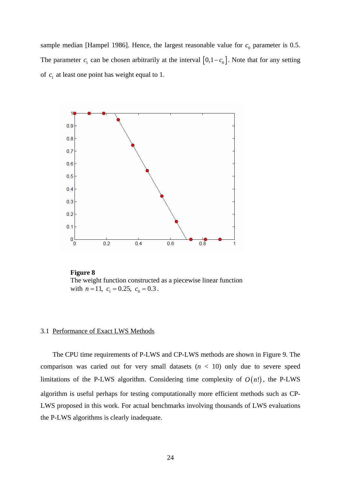sample median [Hampel 1986]. Hence, the largest reasonable value for  $c_0$  parameter is 0.5. The parameter  $c_1$  can be chosen arbitrarily at the interval  $[0,1-c_0]$ . Note that for any setting of  $c_1$  at least one point has weight equal to 1.



**Figure 8**  The weight function constructed as a piecewise linear function with  $n = 11$ ,  $c_1 = 0.25$ ,  $c_0 = 0.3$ .

#### 3.1 Performance of Exact LWS Methods

The CPU time requirements of P-LWS and CP-LWS methods are shown in Figure 9. The comparison was caried out for very small datasets  $(n < 10)$  only due to severe speed limitations of the P-LWS algorithm. Considering time complexity of  $O(n!)$ , the P-LWS algorithm is useful perhaps for testing computationally more efficient methods such as CP-LWS proposed in this work. For actual benchmarks involving thousands of LWS evaluations the P-LWS algorithms is clearly inadequate.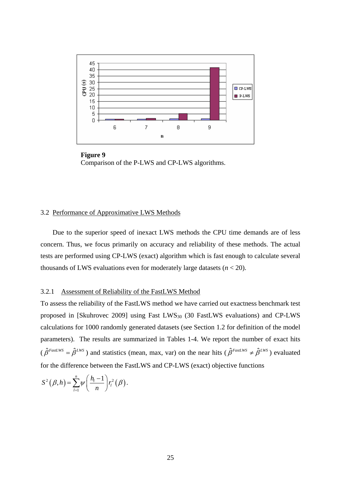

**Figure 9**  Comparison of the P-LWS and CP-LWS algorithms.

#### 3.2 Performance of Approximative LWS Methods

Due to the superior speed of inexact LWS methods the CPU time demands are of less concern. Thus, we focus primarily on accuracy and reliability of these methods. The actual tests are performed using CP-LWS (exact) algorithm which is fast enough to calculate several thousands of LWS evaluations even for moderately large datasets  $(n < 20)$ .

#### 3.2.1 Assessment of Reliability of the FastLWS Method

To assess the reliability of the FastLWS method we have carried out exactness benchmark test proposed in [Skuhrovec 2009] using Fast  $LWS_{30}$  (30 FastLWS evaluations) and CP-LWS calculations for 1000 randomly generated datasets (see Section 1.2 for definition of the model parameters). The results are summarized in Tables 1-4. We report the number of exact hits  $(\hat{\beta}^{FastLWS} = \hat{\beta}^{LWS})$  and statistics (mean, max, var) on the near hits  $(\hat{\beta}^{FastLWS} \neq \hat{\beta}^{LWS})$  evaluated for the difference between the FastLWS and CP-LWS (exact) objective functions

$$
S^{2}(\beta,h)=\sum_{l=1}^{n}\psi\bigg(\frac{h_{l}-1}{n}\bigg)r_{l}^{2}(\beta).
$$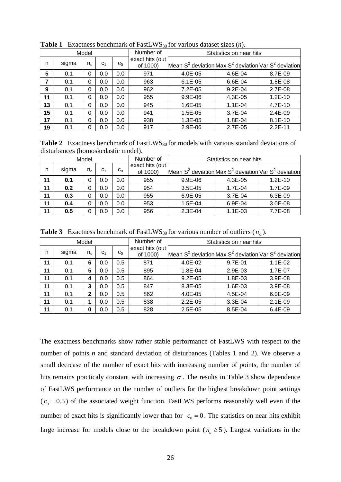|       | <b>Extractively contentiumly of I work to <math>\frac{1}{10}</math> for twill we cannot sike to <math>\frac{1}{10}</math></b> |         |                |                |                             |                                                              |             |           |
|-------|-------------------------------------------------------------------------------------------------------------------------------|---------|----------------|----------------|-----------------------------|--------------------------------------------------------------|-------------|-----------|
| Model |                                                                                                                               |         |                |                | Number of                   | Statistics on near hits                                      |             |           |
| n     | sigma                                                                                                                         | $n_{o}$ | C <sub>1</sub> | c <sub>0</sub> | exact hits (out<br>of 1000) | Mean $S^2$ deviation Max $S^2$ deviation Var $S^2$ deviation |             |           |
| 5     | 0.1                                                                                                                           | 0       | 0.0            | 0.0            | 971                         | 4.0E-05                                                      | 4.6E-04     | 8.7E-09   |
| 7     | 0.1                                                                                                                           | 0       | 0.0            | 0.0            | 963                         | $6.1E-05$                                                    | 6.6E-04     | 1.8E-08   |
| 9     | 0.1                                                                                                                           | 0       | 0.0            | 0.0            | 962                         | 7.2E-05                                                      | $9.2E - 04$ | 2.7E-08   |
| 11    | 0.1                                                                                                                           | 0       | 0.0            | 0.0            | 955                         | $9.9E-06$                                                    | 4.3E-05     | $1.2E-10$ |
| 13    | 0.1                                                                                                                           | 0       | 0.0            | 0.0            | 945                         | 1.6E-05                                                      | $1.1E-04$   | 4.7E-10   |
| 15    | 0.1                                                                                                                           | 0       | 0.0            | 0.0            | 941                         | 1.5E-05                                                      | 3.7E-04     | 2.4E-09   |
| 17    | 0.1                                                                                                                           | 0       | 0.0            | 0.0            | 938                         | 1.3E-05                                                      | 1.8E-04     | 8.1E-10   |
| 19    | 0.1                                                                                                                           | 0       | 0.0            | 0.0            | 917                         | 2.9E-06                                                      | 2.7E-05     | $2.2E-11$ |

**Table 1** Exactness benchmark of FastLWS30 for various dataset sizes (*n*).

**Table 2** Exactness benchmark of FastLWS<sub>30</sub> for models with various standard deviations of disturbances (homoskedastic model).

|    |       | Model   |                |                | Number of                   |                                                              | Statistics on near hits |           |
|----|-------|---------|----------------|----------------|-----------------------------|--------------------------------------------------------------|-------------------------|-----------|
| n  | sigma | $n_{o}$ | C <sub>1</sub> | c <sub>0</sub> | exact hits (out<br>of 1000) | Mean $S^2$ deviation Max $S^2$ deviation Var $S^2$ deviation |                         |           |
| 11 | 0.1   | 0       | 0.0            | 0.0            | 955                         | 9.9E-06                                                      | 4.3E-05                 | $1.2E-10$ |
| 11 | 0.2   | 0       | 0.0            | 0.0            | 954                         | 3.5E-05                                                      | $1.7E-04$               | 1.7E-09   |
| 11 | 0.3   | 0       | 0.0            | 0.0            | 955                         | 6.9E-05                                                      | 3.7E-04                 | 6.3E-09   |
| 11 | 0.4   | 0       | 0.0            | 0.0            | 953                         | 1.5E-04                                                      | 6.9E-04                 | 3.0E-08   |
| 11 | 0.5   | 0       | 0.0            | 0.0            | 956                         | 2.3E-04                                                      | $1.1E-03$               | 7.7E-08   |

**Table 3** Exactness benchmark of FastLWS<sub>30</sub> for various number of outliers  $(n_o)$ .

| Model |       |         | Number of<br>Statistics on near hits |                |                             |                                                              |         |           |
|-------|-------|---------|--------------------------------------|----------------|-----------------------------|--------------------------------------------------------------|---------|-----------|
| n     | sigma | $n_{o}$ | C <sub>1</sub>                       | c <sub>0</sub> | exact hits (out<br>of 1000) | Mean $S^2$ deviation Max $S^2$ deviation Var $S^2$ deviation |         |           |
| 11    | 0.1   | 6       | 0.0                                  | 0.5            | 871                         | 4.0E-02                                                      | 9.7E-01 | $1.1E-02$ |
| 11    | 0.1   | 5       | 0.0                                  | 0.5            | 895                         | 1.8E-04                                                      | 2.9E-03 | 1.7E-07   |
| 11    | 0.1   | 4       | 0.0                                  | 0.5            | 864                         | $9.2E-05$                                                    | 1.8E-03 | 3.9E-08   |
| 11    | 0.1   | 3       | 0.0                                  | 0.5            | 847                         | 8.3E-05                                                      | 1.6E-03 | 3.9E-08   |
| 11    | 0.1   | 2       | 0.0                                  | 0.5            | 862                         | 4.0E-05                                                      | 4.5E-04 | 6.0E-09   |
| 11    | 0.1   |         | 0.0                                  | 0.5            | 838                         | $2.2E-05$                                                    | 3.3E-04 | 2.1E-09   |
| 11    | 0.1   | 0       | 0.0                                  | 0.5            | 828                         | 2.5E-05                                                      | 8.5E-04 | 6.4E-09   |

The exactness benchmarks show rather stable performance of FastLWS with respect to the number of points *n* and standard deviation of disturbances (Tables 1 and 2). We observe a small decrease of the number of exact hits with increasing number of points, the number of hits remains practicaly constant with increasing  $\sigma$ . The results in Table 3 show dependence of FastLWS performance on the number of outliers for the highest breakdown point settings  $(c_0 = 0.5)$  of the associated weight function. FastLWS performs reasonably well even if the number of exact hits is significantly lower than for  $c_0 = 0$ . The statistics on near hits exhibit large increase for models close to the breakdown point ( $n_a \ge 5$ ). Largest variations in the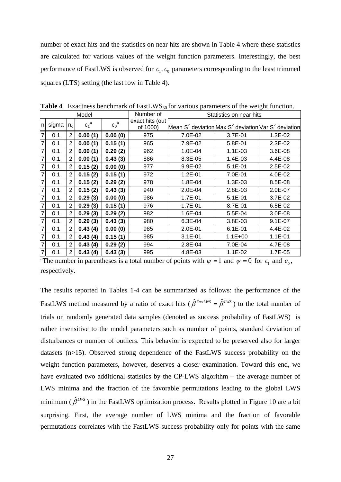number of exact hits and the statistics on near hits are shown in Table 4 where these statistics are calculated for various values of the weight function parameters. Interestingly, the best performance of FastLWS is observed for  $c_1, c_0$  parameters corresponding to the least trimmed squares (LTS) setting (the last row in Table 4).

| Model          |       |                |             | Number of<br>Statistics on near hits |                             |                                                              |             |           |
|----------------|-------|----------------|-------------|--------------------------------------|-----------------------------|--------------------------------------------------------------|-------------|-----------|
| n              | sigma | $n_{o}$        | $C_1^{\ a}$ | , a<br>$C_0$                         | exact hits (out<br>of 1000) | Mean $S^2$ deviation Max $S^2$ deviation Var $S^2$ deviation |             |           |
| $\overline{7}$ | 0.1   | 2              | 0.00(1)     | 0.00(0)                              | 975                         | 7.0E-02                                                      | 3.7E-01     | 1.3E-02   |
| $\overline{7}$ | 0.1   | 2              | 0.00(1)     | 0.15(1)                              | 965                         | 7.9E-02                                                      | 5.8E-01     | 2.3E-02   |
| $\overline{7}$ | 0.1   | 2              | 0.00(1)     | 0.29(2)                              | 962                         | 1.0E-04                                                      | 1.1E-03     | 3.6E-08   |
| $\overline{7}$ | 0.1   | 2              | 0.00(1)     | 0.43(3)                              | 886                         | 8.3E-05                                                      | 1.4E-03     | 4.4E-08   |
| $\overline{7}$ | 0.1   | $\overline{2}$ | 0.15(2)     | 0.00(0)                              | 977                         | 9.9E-02                                                      | $5.1E-01$   | 2.5E-02   |
| $\overline{7}$ | 0.1   | 2              | 0.15(2)     | 0.15(1)                              | 972                         | 1.2E-01                                                      | 7.0E-01     | 4.0E-02   |
| $\overline{7}$ | 0.1   | $\overline{2}$ | 0.15(2)     | 0.29(2)                              | 978                         | 1.8E-04                                                      | 1.3E-03     | 8.5E-08   |
| $\overline{7}$ | 0.1   | $\overline{2}$ | 0.15(2)     | 0.43(3)                              | 940                         | 2.0E-04                                                      | 2.8E-03     | 2.0E-07   |
| $\overline{7}$ | 0.1   | 2              | 0.29(3)     | 0.00(0)                              | 986                         | 1.7E-01                                                      | 5.1E-01     | 3.7E-02   |
| $\overline{7}$ | 0.1   | $\overline{2}$ | 0.29(3)     | 0.15(1)                              | 976                         | 1.7E-01                                                      | 8.7E-01     | 6.5E-02   |
| $\overline{7}$ | 0.1   | $\overline{2}$ | 0.29(3)     | 0.29(2)                              | 982                         | 1.6E-04                                                      | 5.5E-04     | 3.0E-08   |
| $\overline{7}$ | 0.1   | 2              | 0.29(3)     | 0.43(3)                              | 980                         | 6.3E-04                                                      | 3.8E-03     | $9.1E-07$ |
| $\overline{7}$ | 0.1   | 2              | 0.43(4)     | 0.00(0)                              | 985                         | 2.0E-01                                                      | $6.1E-01$   | 4.4E-02   |
| $\overline{7}$ | 0.1   | 2              | 0.43(4)     | 0.15(1)                              | 985                         | $3.1E-01$                                                    | $1.1E + 00$ | 1.1E-01   |
| $\overline{7}$ | 0.1   | 2              | 0.43(4)     | 0.29(2)                              | 994                         | 2.8E-04                                                      | 7.0E-04     | 4.7E-08   |
| $\overline{7}$ | 0.1   | 2              | 0.43(4)     | 0.43(3)                              | 995                         | 4.8E-03                                                      | 1.1E-02     | 1.7E-05   |

**Table 4** Exactness benchmark of FastLWS<sub>30</sub> for various parameters of the weight function.

<sup>a</sup>The number in parentheses is a total number of points with  $\psi = 1$  and  $\psi = 0$  for  $c_1$  and  $c_0$ , respectively.

The results reported in Tables 1-4 can be summarized as follows: the performance of the FastLWS method measured by a ratio of exact hits ( $\hat{\beta}^{FastLWS} = \hat{\beta}^{LWS}$ ) to the total number of trials on randomly generated data samples (denoted as success probability of FastLWS) is rather insensitive to the model parameters such as number of points, standard deviation of disturbances or number of outliers. This behavior is expected to be preserved also for larger datasets (n>15). Observed strong dependence of the FastLWS success probability on the weight function parameters, however, deserves a closer examination. Toward this end, we have evaluated two additional statistics by the CP-LWS algorithm – the average number of LWS minima and the fraction of the favorable permutations leading to the global LWS minimum ( $\hat{\beta}^{LWS}$ ) in the FastLWS optimization process. Results plotted in Figure 10 are a bit surprising. First, the average number of LWS minima and the fraction of favorable permutations correlates with the FastLWS success probability only for points with the same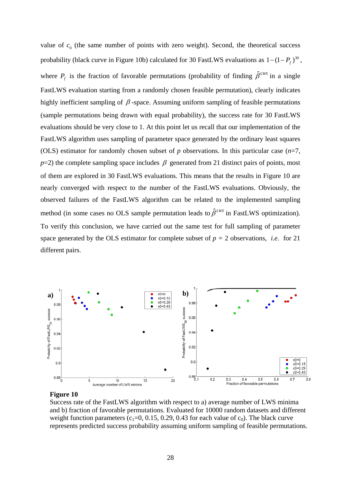value of  $c_0$  (the same number of points with zero weight). Second, the theoretical success probability (black curve in Figure 10b) calculated for 30 FastLWS evaluations as  $1 - (1 - P_f)^{30}$ , where  $P_f$  is the fraction of favorable permutations (probability of finding  $\hat{\beta}^{LWS}$  in a single FastLWS evaluation starting from a randomly chosen feasible permutation), clearly indicates highly inefficient sampling of  $\beta$ -space. Assuming uniform sampling of feasible permutations (sample permutations being drawn with equal probability), the success rate for 30 FastLWS evaluations should be very close to 1. At this point let us recall that our implementation of the FastLWS algorithm uses sampling of parameter space generated by the ordinary least squares (OLS) estimator for randomly chosen subset of *p* observations. In this particular case (*n*=7,  $p=2$ ) the complete sampling space includes  $\beta$  generated from 21 distinct pairs of points, most of them are explored in 30 FastLWS evaluations. This means that the results in Figure 10 are nearly converged with respect to the number of the FastLWS evaluations. Obviously, the observed failures of the FastLWS algorithm can be related to the implemented sampling method (in some cases no OLS sample permutation leads to  $\hat{\beta}^{LWS}$  in FastLWS optimization). To verify this conclusion, we have carried out the same test for full sampling of parameter space generated by the OLS estimator for complete subset of  $p = 2$  observations, *i.e.* for 21 different pairs.



#### **Figure 10**

Success rate of the FastLWS algorithm with respect to a) average number of LWS minima and b) fraction of favorable permutations. Evaluated for 10000 random datasets and different weight function parameters (c<sub>1</sub>=0, 0.15, 0.29, 0.43 for each value of c<sub>0</sub>). The black curve represents predicted success probability assuming uniform sampling of feasible permutations.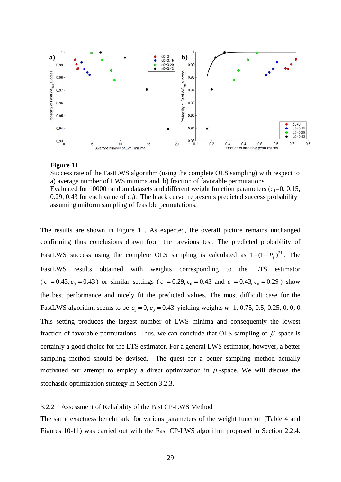

#### **Figure 11**

Success rate of the FastLWS algorithm (using the complete OLS sampling) with respect to a) average number of LWS minima and b) fraction of favorable permutations. Evaluated for 10000 random datasets and different weight function parameters  $(c_1=0, 0.15,$ 0.29, 0.43 for each value of  $c_0$ ). The black curve represents predicted success probability assuming uniform sampling of feasible permutations.

The results are shown in Figure 11. As expected, the overall picture remains unchanged confirming thus conclusions drawn from the previous test. The predicted probability of FastLWS success using the complete OLS sampling is calculated as  $1 - (1 - P_f)^{21}$ . The FastLWS results obtained with weights corresponding to the LTS estimator (  $c_1 = 0.43$ ,  $c_0 = 0.43$  ) or similar settings (  $c_1 = 0.29$ ,  $c_0 = 0.43$  and  $c_1 = 0.43$ ,  $c_0 = 0.29$  ) show the best performance and nicely fit the predicted values. The most difficult case for the FastLWS algorithm seems to be  $c_1 = 0$ ,  $c_0 = 0.43$  yielding weights *w*=1, 0.75, 0.5, 0.25, 0, 0, 0. This setting produces the largest number of LWS minima and consequently the lowest fraction of favorable permutations. Thus, we can conclude that OLS sampling of  $\beta$ -space is certainly a good choice for the LTS estimator. For a general LWS estimator, however, a better sampling method should be devised. The quest for a better sampling method actually motivated our attempt to employ a direct optimization in  $\beta$ -space. We will discuss the stochastic optimization strategy in Section 3.2.3.

#### 3.2.2 Assessment of Reliability of the Fast CP-LWS Method

The same exactness benchmark for various parameters of the weight function (Table 4 and Figures 10-11) was carried out with the Fast CP-LWS algorithm proposed in Section 2.2.4.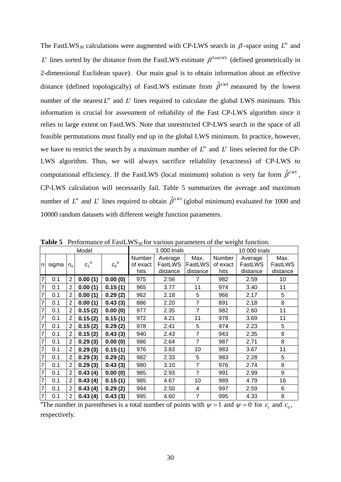The FastLWS<sub>30</sub> calculations were augmented with CP-LWS search in  $\beta$ -space using  $L^m$  and  $L^s$  lines sorted by the distance from the FastLWS estimate  $\beta^{FastLWS}$  (defined geometrically in 2-dimensional Euclidean space). Our main goal is to obtain information about an effective distance (defined topologically) of FastLWS estimate from  $\hat{\beta}^{LWS}$  measured by the lowest number of the nearest  $L^m$  and  $L^s$  lines required to calculate the global LWS minimum. This information is crucial for assessment of reliability of the Fast CP-LWS algorithm since it relies to large extent on FastLWS. Note that unrestricted CP-LWS search in the space of all feasible permutations must finally end up in the global LWS minimum. In practice, however, we have to restrict the search by a maximum number of  $L^m$  and  $L^s$  lines selected for the CP-LWS algorithm. Thus, we will always sacrifice reliability (exactness) of CP-LWS to computational efficiency. If the FastLWS (local minimum) solution is very far form  $\hat{\beta}^{LWS}$ , CP-LWS calculation will necessarily fail. Table 5 summarizes the average and maximum number of  $L^m$  and  $L^s$  lines required to obtain  $\hat{\beta}^{LWS}$  (global minimum) evaluated for 1000 and 10000 random datasets with different weight function parameters.

| Model          |       |                |             |           | 1 000 trials                      |                                |                             | 10 000 trials              |                                |                             |
|----------------|-------|----------------|-------------|-----------|-----------------------------------|--------------------------------|-----------------------------|----------------------------|--------------------------------|-----------------------------|
| n              | sigma | $n_{o}$        | $c_1^{\ a}$ | ${c_0}^a$ | <b>Number</b><br>of exact<br>hits | Average<br>FastLWS<br>distance | Max.<br>FastLWS<br>distance | Number<br>of exact<br>hits | Average<br>FastLWS<br>distance | Max.<br>FastLWS<br>distance |
| $\overline{7}$ | 0.1   | $\overline{2}$ | 0.00(1)     | 0.00(0)   | 975                               | 2.56                           | $\overline{7}$              | 982                        | 2.59                           | 10                          |
| $\overline{7}$ | 0.1   | $\overline{2}$ | 0.00(1)     | 0.15(1)   | 965                               | 3.77                           | 11                          | 974                        | 3.40                           | 11                          |
| $\overline{7}$ | 0.1   | $\overline{2}$ | 0.00(1)     | 0.29(2)   | 962                               | 2.18                           | 5                           | 966                        | 2.17                           | 5                           |
| $\overline{7}$ | 0.1   | 2              | 0.00(1)     | 0.43(3)   | 886                               | 2.20                           | $\overline{7}$              | 891                        | 2.18                           | 8                           |
| $\overline{7}$ | 0.1   | $\overline{2}$ | 0.15(2)     | 0.00(0)   | 977                               | 2.35                           | $\overline{7}$              | 982                        | 2.60                           | 11                          |
| $\overline{7}$ | 0.1   | $\overline{2}$ | 0.15(2)     | 0.15(1)   | 972                               | 4.21                           | 11                          | 978                        | 3.69                           | 11                          |
| $\overline{7}$ | 0.1   | $\overline{2}$ | 0.15(2)     | 0.29(2)   | 978                               | 2.41                           | 5                           | 974                        | 2.23                           | 5                           |
| $\overline{7}$ | 0.1   | 2              | 0.15(2)     | 0.43(3)   | 940                               | 2.43                           | $\overline{7}$              | 943                        | 2.35                           | 8                           |
| $\overline{7}$ | 0.1   | $\overline{2}$ | 0.29(3)     | 0.00(0)   | 986                               | 2.64                           | $\overline{7}$              | 987                        | 2.71                           | 8                           |
| $\overline{7}$ | 0.1   | 2              | 0.29(3)     | 0.15(1)   | 976                               | 3.83                           | 10                          | 983                        | 3.67                           | 11                          |
| $\overline{7}$ | 0.1   | $\overline{2}$ | 0.29(3)     | 0.29(2)   | 982                               | 2.33                           | 5                           | 983                        | 2.28                           | 5                           |
| $\overline{7}$ | 0.1   | $\overline{2}$ | 0.29(3)     | 0.43(3)   | 980                               | 3.10                           | $\overline{7}$              | 976                        | 2.74                           | 8                           |
| $\overline{7}$ | 0.1   | 2              | 0.43(4)     | 0.00(0)   | 985                               | 2.93                           | $\overline{7}$              | 991                        | 2.99                           | $\boldsymbol{9}$            |
| $\overline{7}$ | 0.1   | $\overline{2}$ | 0.43(4)     | 0.15(1)   | 985                               | 4.67                           | 10                          | 989                        | 4.79                           | 16                          |
| $\overline{7}$ | 0.1   | 2              | 0.43(4)     | 0.29(2)   | 994                               | 2.50                           | 4                           | 997                        | 2.59                           | 6                           |
| $\overline{7}$ | 0.1   | $\overline{2}$ | 0.43(4)     | 0.43(3)   | 995                               | 4.60                           | $\overline{7}$              | 995                        | 4.33                           | 8                           |

**Table 5** Performance of FastLWS<sub>30</sub> for various parameters of the weight function.

<sup>a</sup>The number in parentheses is a total number of points with  $\psi = 1$  and  $\psi = 0$  for  $c_1$  and  $c_0$ , respectively.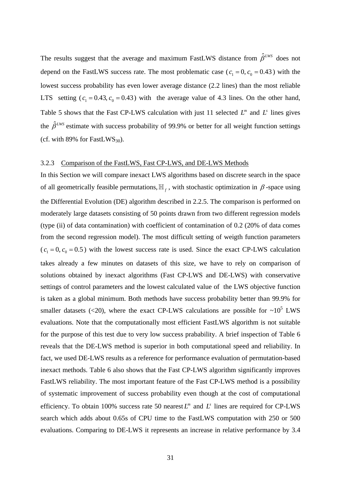The results suggest that the average and maximum FastLWS distance from  $\hat{\beta}^{LWS}$  does not depend on the FastLWS success rate. The most problematic case ( $c_1 = 0$ ,  $c_0 = 0.43$ ) with the lowest success probability has even lower average distance (2.2 lines) than the most reliable LTS setting  $(c_1 = 0.43, c_0 = 0.43)$  with the average value of 4.3 lines. On the other hand, Table 5 shows that the Fast CP-LWS calculation with just 11 selected  $L^m$  and  $L^s$  lines gives the  $\hat{\beta}^{LWS}$  estimate with success probability of 99.9% or better for all weight function settings (cf. with 89% for Fast $LWS_{30}$ ).

#### 3.2.3 Comparison of the FastLWS, Fast CP-LWS, and DE-LWS Methods

In this Section we will compare inexact LWS algorithms based on discrete search in the space of all geometrically feasible permutations,  $\mathbb{H}_f$ , with stochastic optimization in  $\beta$ -space using the Differential Evolution (DE) algorithm described in 2.2.5. The comparison is performed on moderately large datasets consisting of 50 points drawn from two different regression models (type (ii) of data contamination) with coefficient of contamination of 0.2 (20% of data comes from the second regression model). The most difficult setting of weigth function parameters  $(c_1 = 0, c_0 = 0.5)$  with the lowest success rate is used. Since the exact CP-LWS calculation takes already a few minutes on datasets of this size, we have to rely on comparison of solutions obtained by inexact algorithms (Fast CP-LWS and DE-LWS) with conservative settings of control parameters and the lowest calculated value of the LWS objective function is taken as a global minimum. Both methods have success probability better than 99.9% for smaller datasets (<20), where the exact CP-LWS calculations are possible for  $\sim 10^5$  LWS evaluations. Note that the computationally most efficient FastLWS algorithm is not suitable for the purpose of this test due to very low success prabability. A brief inspection of Table 6 reveals that the DE-LWS method is superior in both computational speed and reliability. In fact, we used DE-LWS results as a reference for performance evaluation of permutation-based inexact methods. Table 6 also shows that the Fast CP-LWS algorithm significantly improves FastLWS reliability. The most important feature of the Fast CP-LWS method is a possibility of systematic improvement of success probability even though at the cost of computational efficiency. To obtain 100% success rate 50 nearest  $L^m$  and  $L^s$  lines are required for CP-LWS search which adds about 0.65s of CPU time to the FastLWS computation with 250 or 500 evaluations. Comparing to DE-LWS it represents an increase in relative performance by 3.4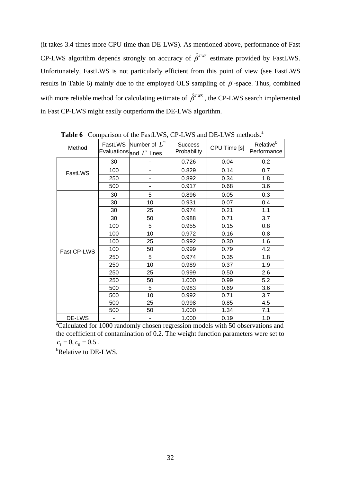(it takes 3.4 times more CPU time than DE-LWS). As mentioned above, performance of Fast CP-LWS algorithm depends strongly on accuracy of  $\hat{\beta}^{LWS}$  estimate provided by FastLWS. Unfortunately, FastLWS is not particularly efficient from this point of view (see FastLWS results in Table 6) mainly due to the employed OLS sampling of  $\beta$ -space. Thus, combined with more reliable method for calculating estimate of  $\hat{\beta}^{LWS}$ , the CP-LWS search implemented in Fast CP-LWS might easily outperform the DE-LWS algorithm.

| Method                                                                                      |              | FastLWS Number of $L^m$<br>Evaluations $_{\mathsf{and}\ \underline{L}^s\ \mathsf{lines}}$ | <b>Success</b><br>Probability | CPU Time [s] | Relative <sup>b</sup><br>Performance |
|---------------------------------------------------------------------------------------------|--------------|-------------------------------------------------------------------------------------------|-------------------------------|--------------|--------------------------------------|
|                                                                                             | 30           |                                                                                           | 0.726                         | 0.04         | 0.2                                  |
| FastLWS                                                                                     | 100          |                                                                                           | 0.829                         | 0.14         | 0.7                                  |
|                                                                                             | 250          |                                                                                           | 0.892                         | 0.34         | 1.8                                  |
|                                                                                             | 500          | $\overline{\phantom{0}}$                                                                  | 0.917                         | 0.68         | 3.6                                  |
|                                                                                             | 30           | 5                                                                                         | 0.896                         | 0.05         | 0.3                                  |
|                                                                                             | 30           | 10                                                                                        | 0.931                         | 0.07         | 0.4                                  |
|                                                                                             | 30           | 25                                                                                        | 0.974                         | 0.21         | 1.1                                  |
|                                                                                             | 30           | 50                                                                                        | 0.988                         | 0.71         | 3.7                                  |
|                                                                                             | 100          | 5                                                                                         | 0.955                         | 0.15         | 0.8                                  |
|                                                                                             | 100          | 10                                                                                        | 0.972                         | 0.16         | 0.8                                  |
|                                                                                             | 100          | 25                                                                                        | 0.992                         | 0.30         | 1.6                                  |
| Fast CP-LWS                                                                                 | 100          | 50                                                                                        | 0.999                         | 0.79         | 4.2                                  |
|                                                                                             | 250          | 5                                                                                         | 0.974                         | 0.35         | 1.8                                  |
|                                                                                             | 250          | 10                                                                                        | 0.989                         | 0.37         | 1.9                                  |
|                                                                                             | 250          | 25                                                                                        | 0.999                         | 0.50         | 2.6                                  |
|                                                                                             | 250          | 50                                                                                        | 1.000                         | 0.99         | 5.2                                  |
|                                                                                             | 500          | 5                                                                                         | 0.983                         | 0.69         | 3.6                                  |
|                                                                                             | 500          | 10                                                                                        | 0.992                         | 0.71         | 3.7                                  |
|                                                                                             | 500          | 25                                                                                        | 0.998                         | 0.85         | 4.5                                  |
|                                                                                             | 500          | 50                                                                                        | 1.000                         | 1.34         | 7.1                                  |
| DE-LWS                                                                                      | $\mathbf{r}$ | $\overline{\phantom{a}}$                                                                  | 1.000                         | 0.19         | 1.0                                  |
| <sup>a</sup> Calculated for 1000 randomly chosen regression models with 50 observations and |              |                                                                                           |                               |              |                                      |

**Table 6** Comparison of the FastLWS, CP-LWS and DE-LWS methods.<sup>a</sup>

the coefficient of contamination of 0.2. The weight function parameters were set to  $c_1 = 0, c_0 = 0.5$ .

<sup>b</sup>Relative to DE-LWS.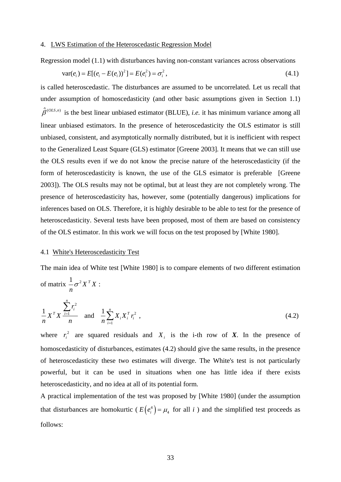#### 4. LWS Estimation of the Heteroscedastic Regression Model

Regression model (1.1) with disturbances having non-constant variances across observations

$$
var(e_i) = E[(e_i - E(e_i))^2] = E(e_i^2) = \sigma_i^2,
$$
\n(4.1)

is called heteroscedastic. The disturbances are assumed to be uncorrelated. Let us recall that under assumption of homoscedasticity (and other basic assumptions given in Section 1.1)  $\hat{\beta}^{(OLS,n)}$  is the best linear unbiased estimator (BLUE), *i.e.* it has minimum variance among all linear unbiased estimators. In the presence of heteroscedasticity the OLS estimator is still unbiased, consistent, and asymptotically normally distributed, but it is inefficient with respect to the Generalized Least Square (GLS) estimator [Greene 2003]. It means that we can still use the OLS results even if we do not know the precise nature of the heteroscedasticity (if the form of heteroscedasticity is known, the use of the GLS esimator is preferable [Greene] 2003]). The OLS results may not be optimal, but at least they are not completely wrong. The presence of heteroscedasticity has, however, some (potentially dangerous) implications for inferences based on OLS. Therefore, it is highly desirable to be able to test for the presence of heteroscedasticity. Several tests have been proposed, most of them are based on consistency of the OLS estimator. In this work we will focus on the test proposed by [White 1980].

#### 4.1 White's Heteroscedasticity Test

The main idea of White test [White 1980] is to compare elements of two different estimation of matrix  $-\sigma^2 X^T X$ *n*  $\frac{1}{2} \sigma^2 X^T X$ :

$$
\frac{1}{n} X^T X \frac{\sum_{i=1}^n r_i^2}{n} \quad \text{and} \quad \frac{1}{n} \sum_{i=1}^n X_i X_i^T r_i^2 \tag{4.2}
$$

where  $r_i^2$  are squared residuals and  $X_i$  is the i-th row of *X*. In the presence of homoscedasticity of disturbances, estimates (4.2) should give the same results, in the presence of heteroscedasticity these two estimates will diverge. The White's test is not particularly powerful, but it can be used in situations when one has little idea if there exists heteroscedasticity, and no idea at all of its potential form.

A practical implementation of the test was proposed by [White 1980] (under the assumption that disturbances are homokurtic ( $E(e_i^4) = \mu_4$  for all *i*) and the simplified test proceeds as follows: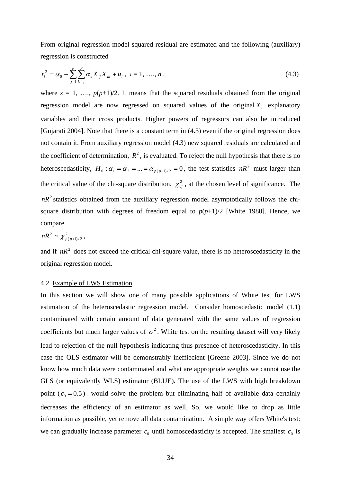From original regression model squared residual are estimated and the following (auxiliary) regression is constructed

$$
r_i^2 = \alpha_0 + \sum_{j=1}^p \sum_{k=j}^p \alpha_s X_{ij} X_{ik} + u_i, \ i = 1, \dots, n,
$$
\n(4.3)

where  $s = 1, \ldots, p(p+1)/2$ . It means that the squared residuals obtained from the original regression model are now regressed on squared values of the original  $X_i$  explanatory variables and their cross products. Higher powers of regressors can also be introduced [Gujarati 2004]. Note that there is a constant term in (4.3) even if the original regression does not contain it. From auxiliary regression model (4.3) new squared residuals are calculated and the coefficient of determination,  $R^2$ , is evaluated. To reject the null hypothesis that there is no heteroscedasticity,  $H_0 : \alpha_1 = \alpha_2 = ... = \alpha_{p(p+1)/2} = 0$ , the test statistics  $nR^2$  must larger than the critical value of the chi-square distribution,  $\chi^2_{df}$ , at the chosen level of significance. The  $nR<sup>2</sup>$  statistics obtained from the auxiliary regression model asymptotically follows the chisquare distribution with degrees of freedom equal to  $p(p+1)/2$  [White 1980]. Hence, we compare

$$
nR^2 \sim \chi^2_{p(p+1)/2},
$$

and if  $nR<sup>2</sup>$  does not exceed the critical chi-square value, there is no heteroscedasticity in the original regression model.

#### 4.2 Example of LWS Estimation

In this section we will show one of many possible applications of White test for LWS estimation of the heteroscedastic regression model. Consider homoscedastic model (1.1) contaminated with certain amount of data generated with the same values of regression coefficients but much larger values of  $\sigma^2$ . White test on the resulting dataset will very likely lead to rejection of the null hypothesis indicating thus presence of heteroscedasticity. In this case the OLS estimator will be demonstrably ineffiecient [Greene 2003]. Since we do not know how much data were contaminated and what are appropriate weights we cannot use the GLS (or equivalently WLS) estimator (BLUE). The use of the LWS with high breakdown point  $(c_0 = 0.5)$  would solve the problem but eliminating half of available data certainly decreases the efficiency of an estimator as well. So, we would like to drop as little information as possible, yet remove all data contamination. A simple way offers White's test: we can gradually increase parameter  $c_0$  until homoscedasticity is accepted. The smallest  $c_0$  is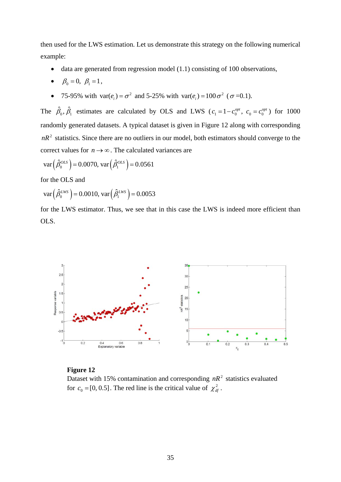then used for the LWS estimation. Let us demonstrate this strategy on the following numerical example:

- data are generated from regression model (1.1) consisting of 100 observations,
- $\beta_0 = 0, \ \beta_1 = 1,$
- 75-95% with  $var(e_i) = \sigma^2$  and 5-25% with  $var(e_i) = 100 \sigma^2$  ( $\sigma = 0.1$ ).

The  $\hat{\beta}_0$ ,  $\hat{\beta}_1$  estimates are calculated by OLS and LWS ( $c_1 = 1 - c_0^{opt}$ ,  $c_0 = c_0^{opt}$ ) for 1000 randomly generated datasets. A typical dataset is given in Figure 12 along with corresponding  $nR<sup>2</sup>$  statistics. Since there are no outliers in our model, both estimators should converge to the correct values for  $n \to \infty$ . The calculated variances are

$$
var\left(\hat{\beta}_0^{OLS}\right) = 0.0070, var\left(\hat{\beta}_1^{OLS}\right) = 0.0561
$$

for the OLS and

$$
\text{var}\left(\hat{\beta}_0^{LWS}\right) = 0.0010, \text{var}\left(\hat{\beta}_1^{LWS}\right) = 0.0053
$$

for the LWS estimator. Thus, we see that in this case the LWS is indeed more efficient than OLS.



#### **Figure 12**

Dataset with 15% contamination and corresponding  $nR^2$  statistics evaluated for  $c_0 = [0, 0.5]$ . The red line is the critical value of  $\chi^2_{df}$ .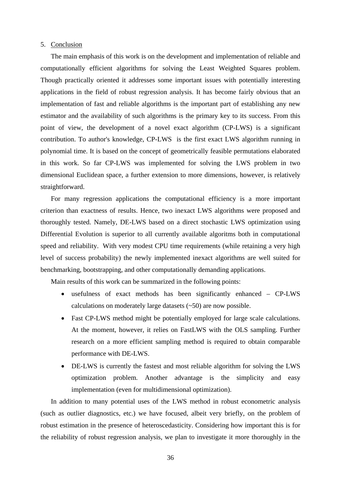#### 5. Conclusion

The main emphasis of this work is on the development and implementation of reliable and computationally efficient algorithms for solving the Least Weighted Squares problem. Though practically oriented it addresses some important issues with potentially interesting applications in the field of robust regression analysis. It has become fairly obvious that an implementation of fast and reliable algorithms is the important part of establishing any new estimator and the availability of such algorithms is the primary key to its success. From this point of view, the development of a novel exact algorithm (CP-LWS) is a significant contribution. To author's knowledge, CP-LWS is the first exact LWS algorithm running in polynomial time. It is based on the concept of geometrically feasible permutations elaborated in this work. So far CP-LWS was implemented for solving the LWS problem in two dimensional Euclidean space, a further extension to more dimensions, however, is relatively straightforward.

For many regression applications the computational efficiency is a more important criterion than exactness of results. Hence, two inexact LWS algorithms were proposed and thoroughly tested. Namely, DE-LWS based on a direct stochastic LWS optimization using Differential Evolution is superior to all currently available algoritms both in computational speed and reliability. With very modest CPU time requirements (while retaining a very high level of success probability) the newly implemented inexact algorithms are well suited for benchmarking, bootstrapping, and other computationally demanding applications.

Main results of this work can be summarized in the following points:

- usefulness of exact methods has been significantly enhanced CP-LWS calculations on moderately large datasets (~50) are now possible.
- Fast CP-LWS method might be potentially employed for large scale calculations. At the moment, however, it relies on FastLWS with the OLS sampling. Further research on a more efficient sampling method is required to obtain comparable performance with DE-LWS.
- DE-LWS is currently the fastest and most reliable algorithm for solving the LWS optimization problem. Another advantage is the simplicity and easy implementation (even for multidimensional optimization).

In addition to many potential uses of the LWS method in robust econometric analysis (such as outlier diagnostics, etc.) we have focused, albeit very briefly, on the problem of robust estimation in the presence of heteroscedasticity. Considering how important this is for the reliability of robust regression analysis, we plan to investigate it more thoroughly in the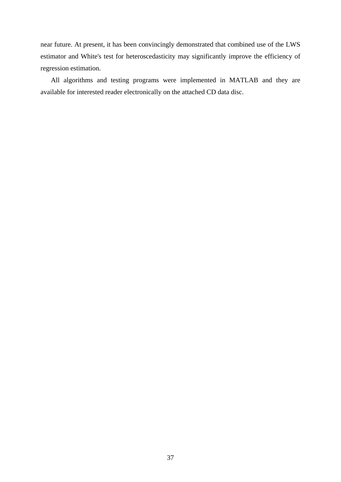near future. At present, it has been convincingly demonstrated that combined use of the LWS estimator and White's test for heteroscedasticity may significantly improve the efficiency of regression estimation.

All algorithms and testing programs were implemented in MATLAB and they are available for interested reader electronically on the attached CD data disc.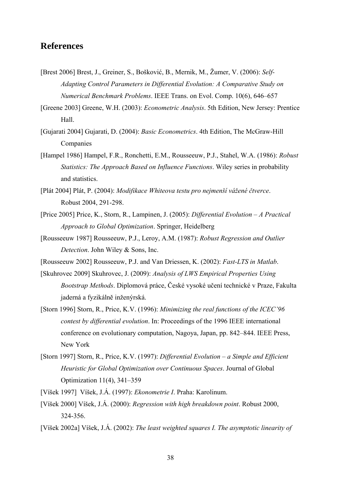### **References**

- [Brest 2006] Brest, J., Greiner, S., Bošković, B., Mernik, M., Žumer, V. (2006): *Self- Adapting Control Parameters in Differential Evolution: A Comparative Study on Numerical Benchmark Problems*. IEEE Trans. on Evol. Comp. 10(6), 646–657
- [Greene 2003] Greene, W.H. (2003): *Econometric Analysis*. 5th Edition, New Jersey: Prentice Hall.
- [Gujarati 2004] Gujarati, D. (2004): *Basic Econometrics*. 4th Edition, The McGraw-Hill Companies
- [Hampel 1986] Hampel, F.R., Ronchetti, E.M., Rousseeuw, P.J., Stahel, W.A. (1986): *Robust Statistics: The Approach Based on Influence Functions*. Wiley series in probability and statistics.
- [Plát 2004] Plát, P. (2004): *Modifikace Whiteova testu pro nejmenší vážené čtverce*. Robust 2004, 291-298.
- [Price 2005] Price, K., Storn, R., Lampinen, J. (2005): *Differential Evolution A Practical Approach to Global Optimization*. Springer, Heidelberg
- [Rousseeuw 1987] Rousseeuw, P.J., Leroy, A.M. (1987): *Robust Regression and Outlier Detection*. John Wiley & Sons, Inc.
- [Rousseeuw 2002] Rousseeuw, P.J. and Van Driessen, K. (2002): *Fast-LTS in Matlab*.
- [Skuhrovec 2009] Skuhrovec, J. (2009): *Analysis of LWS Empirical Properties Using Bootstrap Methods*. Diplomová práce, České vysoké učení technické v Praze, Fakulta jaderná a fyzikálně inženýrská.
- [Storn 1996] Storn, R., Price, K.V. (1996): *Minimizing the real functions of the ICEC'96 contest by differential evolution*. In: Proceedings of the 1996 IEEE international conference on evolutionary computation, Nagoya, Japan, pp. 842–844. IEEE Press, New York
- [Storn 1997] Storn, R., Price, K.V. (1997): *Differential Evolution a Simple and Efficient Heuristic for Global Optimization over Continuous Spaces*. Journal of Global Optimization 11(4), 341–359
- [Víšek 1997] Víšek, J.Á. (1997): *Ekonometrie I*. Praha: Karolinum.
- [Víšek 2000] Víšek, J.Á. (2000): *Regression with high breakdown point*. Robust 2000, 324-356.
- [Víšek 2002a] Víšek, J.Á. (2002): *The least weighted squares I. The asymptotic linearity of*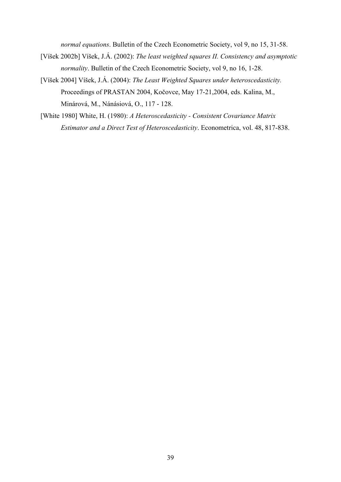*normal equations*. Bulletin of the Czech Econometric Society, vol 9, no 15, 31-58.

- [Víšek 2002b] Víšek, J.Á. (2002): *The least weighted squares II. Consistency and asymptotic normality*. Bulletin of the Czech Econometric Society, vol 9, no 16, 1-28.
- [Víšek 2004] Víšek, J.Á. (2004): *The Least Weighted Squares under heteroscedasticity.* Proceedings of PRASTAN 2004, Kočovce, May 17-21,2004, eds. Kalina, M., Minárová, M., Nánásiová, O., 117 - 128.
- [White 1980] White, H. (1980): *A Heteroscedasticity Consistent Covariance Matrix Estimator and a Direct Test of Heteroscedasticity*. Econometrica, vol. 48, 817-838.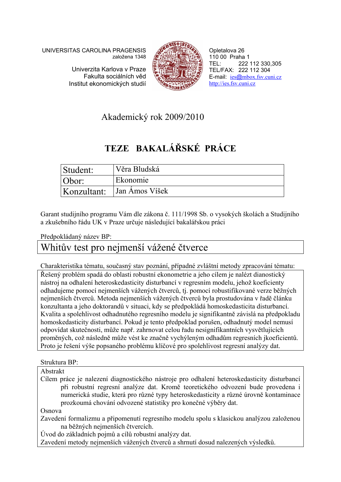UNIVERSITAS CAROLINA PRAGENSIS založena 1348

> Univerzita Karlova v Praze Fakulta sociálních věd Institut ekonomických studií



Opletalova 26 110 00 Praha 1 TEL: 222 112 330,305 TEL/FAX: 222 112 304 E-mail: ies@mbox.fsv.cuni.cz http://ies.fsv.cuni.cz

## Akademický rok 2009/2010

## **TEZE BAKALÁŘSKÉ PRÁCE**

| Student:    | Věra Bludská   |
|-------------|----------------|
| Obor:       | Ekonomie       |
| Konzultant: | Jan Amos Víšek |

Garant studijního programu Vám dle zákona č. 111/1998 Sb. o vysokých školách a Studijního a zkušebního řádu UK v Praze určuje následující bakalářskou práci

Předpokládaný název BP:

## Whitův test pro nejmenší vážené čtverce

Charakteristika tématu, současný stav poznání, případné zvláštní metody zpracování tématu: Řešený problém spadá do oblasti robustní ekonometrie a jeho cílem je nalézt dianostický nástroj na odhalení heteroskedasticity disturbancí v regresním modelu, jehož koeficienty odhadujeme pomocí nejmenších vážených čtverců, tj. pomocí robustifikované verze běžných nejmenších čtverců. Metoda nejmenších vážených čtverců byla prostudována v řadě článku konzultanta a jeho doktorandů v situaci, kdy se předpokládá homoskedasticita disturbancí. Kvalita a spolehlivost odhadnutého regresního modelu je signifikantně závislá na předpokladu homoskedasticity disturbancí. Pokud je tento předpoklad porušen, odhadnutý model nemusí odpovídat skutečnosti, může např. zahrnovat celou řadu nesignifikantních vysvětlujících proměných, což následně může vést ke značně vychýleným odhadům regresních jkoeficientů. Proto je řešení výše popsaného problému klíčové pro spolehlivost regresní analýzy dat.

Struktura BP:

Abstrakt

Cílem práce je nalezení diagnostického nástroje pro odhalení heteroskedasticity disturbancí při robustní regresní analýze dat. Kromě teoretického odvození bude provedena i numerická studie, která pro různé typy heteroskedasticity a různé úrovně kontaminace prozkoumá chování odvozené statistiky pro konečné výběry dat.

Osnova

Zavedení formalizmu a připomenutí regresního modelu spolu s klasickou analýzou založenou na běžných nejmenších čtvercích.

Úvod do základních pojmů a cílů robustní analýzy dat.

Zavedení metody nejmenších vážených čtverců a shrnutí dosud nalezených výsledků.